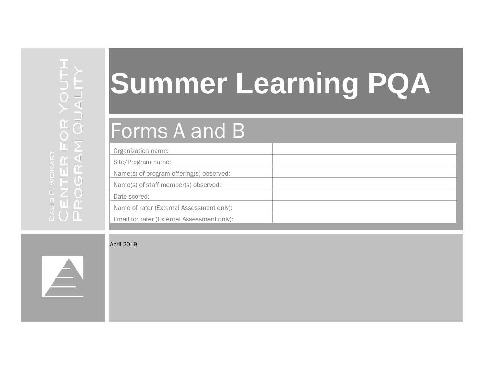# **Summer Learning PQA**

## Forms A and B

| Organization name:                          |  |
|---------------------------------------------|--|
| Site/Program name:                          |  |
| Name(s) of program offering(s) observed:    |  |
| Name(s) of staff member(s) observed:        |  |
| Date scored:                                |  |
| Name of rater (External Assessment only):   |  |
| Email for rater (External Assessment only): |  |

April 2019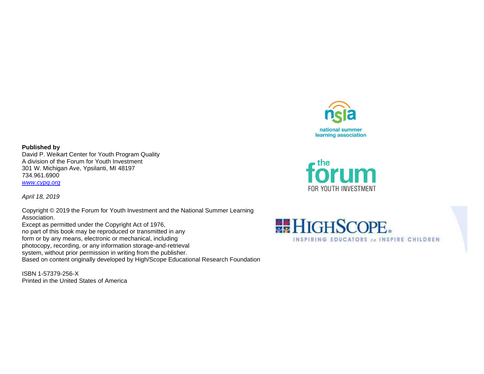

forum

FOR YOUTH INVESTMENT

**Published by** David P. Weikart Center for Youth Program Quality A division of the Forum for Youth Investment 301 W. Michigan Ave, Ypsilanti, MI 48197

734.961.6900 *[www.cypq.org](http://www.cypq.org/)*

*April 18, 2019*

Copyright © 2019 the Forum for Youth Investment and the National Summer Learning Association.

Except as permitted under the Copyright Act of 1976, no part of this book may be reproduced or transmitted in any form or by any means, electronic or mechanical, including photocopy, recording, or any information storage-and-retrieval system, without prior permission in writing from the publisher. Based on content originally developed by High/Scope Educational Research Foundation

ISBN 1-57379-256-X Printed in the United States of America

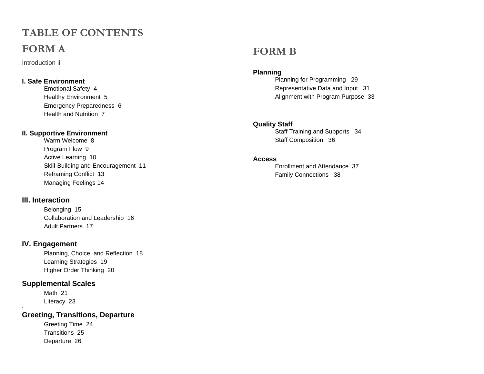## **TABLE OF CONTENTS FORM A**

Introduction ii

#### **I. Safe Environment**

Emotional Safety 4 Healthy Environment 5 Emergency Preparedness 6 Health and Nutrition 7

#### **II. Supportive Environment**

Warm Welcome 8 Program Flow 9 Active Learning 10 Skill-Building and Encouragement 11 Reframing Conflict 13 Managing Feelings 14

#### **III. Interaction**

Belonging 15 Collaboration and Leadership 16 Adult Partners 17

#### **IV. Engagement**

Planning, Choice, and Reflection 18 Learning Strategies 19 Higher Order Thinking 20

#### **Supplemental Scales**

Math 21 Literacy 23

**'**

#### **Greeting, Transitions, Departure**

Greeting Time 24 Transitions 25 Departure 26

#### **FORM B**

#### **Planning**

Planning for Programming 29 Representative Data and Input 31 Alignment with Program Purpose 33

#### **Quality Staff**

Staff Training and Supports 34 Staff Composition 36

#### **Access**

Enrollment and Attendance 37 Family Connections 38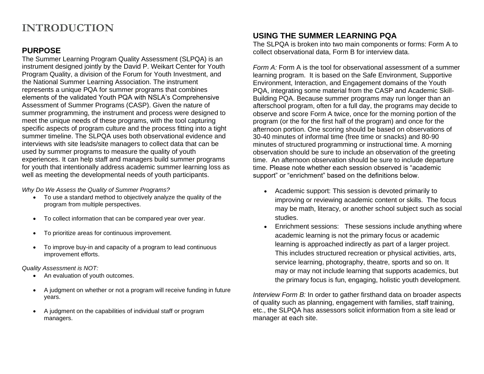## **INTRODUCTION**

#### **PURPOSE**

The Summer Learning Program Quality Assessment (SLPQA) is an instrument designed jointly by the David P. Weikart Center for Youth Program Quality, a division of the Forum for Youth Investment, and the National Summer Learning Association. The instrument represents a unique PQA for summer programs that combines elements of the validated Youth PQA with NSLA's Comprehensive Assessment of Summer Programs (CASP). Given the nature of summer programming, the instrument and process were designed to meet the unique needs of these programs, with the tool capturing specific aspects of program culture and the process fitting into a tight summer timeline. The SLPQA uses both observational evidence and interviews with site leads/site managers to collect data that can be used by summer programs to measure the quality of youth experiences. It can help staff and managers build summer programs for youth that intentionally address academic summer learning loss as well as meeting the developmental needs of youth participants.

*Why Do We Assess the Quality of Summer Programs?* 

- To use a standard method to objectively analyze the quality of the program from multiple perspectives.
- To collect information that can be compared year over year.
- To prioritize areas for continuous improvement.
- To improve buy-in and capacity of a program to lead continuous improvement efforts.

*Quality Assessment is NOT:* 

- An evaluation of youth outcomes.
- A judgment on whether or not a program will receive funding in future years.
- A judgment on the capabilities of individual staff or program managers.

#### **USING THE SUMMER LEARNING PQA**

The SLPQA is broken into two main components or forms: Form A to collect observational data, Form B for interview data.

*Form A:* Form A is the tool for observational assessment of a summer learning program. It is based on the Safe Environment, Supportive Environment, Interaction, and Engagement domains of the Youth PQA, integrating some material from the CASP and Academic Skill-Building PQA. Because summer programs may run longer than an afterschool program, often for a full day, the programs may decide to observe and score Form A twice, once for the morning portion of the program (or the for the first half of the program) and once for the afternoon portion. One scoring should be based on observations of 30-40 minutes of informal time (free time or snacks) and 80-90 minutes of structured programming or instructional time. A morning observation should be sure to include an observation of the greeting time. An afternoon observation should be sure to include departure time. Please note whether each session observed is "academic support" or "enrichment" based on the definitions below.

- Academic support: This session is devoted primarily to improving or reviewing academic content or skills. The focus may be math, literacy, or another school subject such as social studies.
- Enrichment sessions: These sessions include anything where academic learning is not the primary focus or academic learning is approached indirectly as part of a larger project. This includes structured recreation or physical activities, arts, service learning, photography, theatre, sports and so on. It may or may not include learning that supports academics, but the primary focus is fun, engaging, holistic youth development.

*Interview Form B:* In order to gather firsthand data on broader aspects of quality such as planning, engagement with families, staff training, etc., the SLPQA has assessors solicit information from a site lead or manager at each site.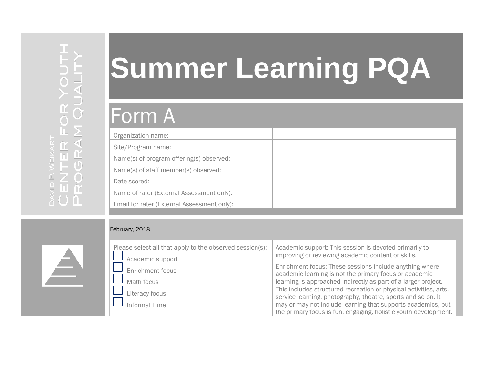# **Summer Learning PQA**

# Form A

| Organization name:                          |  |
|---------------------------------------------|--|
| Site/Program name:                          |  |
| Name(s) of program offering(s) observed:    |  |
| Name(s) of staff member(s) observed:        |  |
| Date scored:                                |  |
| Name of rater (External Assessment only):   |  |
| Email for rater (External Assessment only): |  |

#### February, 2018

| Please select all that apply to the observed session(s): | Academic support: This session is devoted primarily to                                                                            |  |  |  |
|----------------------------------------------------------|-----------------------------------------------------------------------------------------------------------------------------------|--|--|--|
| Academic support                                         | improving or reviewing academic content or skills.                                                                                |  |  |  |
| Enrichment focus                                         | Enrichment focus: These sessions include anything where<br>academic learning is not the primary focus or academic                 |  |  |  |
| Math focus                                               | learning is approached indirectly as part of a larger project.                                                                    |  |  |  |
| Literacy focus                                           | This includes structured recreation or physical activities, arts,<br>service learning, photography, theatre, sports and so on. It |  |  |  |
| Informal Time                                            | may or may not include learning that supports academics, but<br>the primary focus is fun, engaging, holistic youth development.   |  |  |  |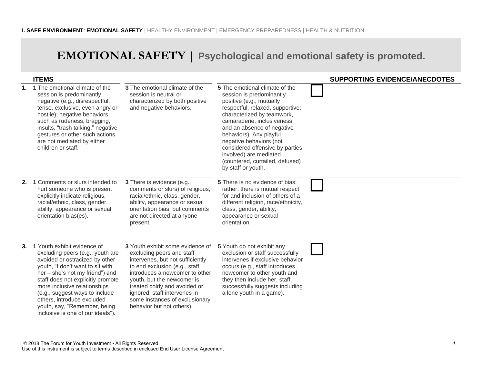## **EMOTIONAL SAFETY | Psychological and emotional safety is promoted.**

|    | <b>ITEMS</b>                                                                                                                                                                                                                                                                                                                                                                         |                                                                                                                                                                                                                                                                                                                                   |                                                                                                                                                                                                                                                                                                                                                                                                   | <b>SUPPORTING EVIDENCE/ANECDOTES</b> |
|----|--------------------------------------------------------------------------------------------------------------------------------------------------------------------------------------------------------------------------------------------------------------------------------------------------------------------------------------------------------------------------------------|-----------------------------------------------------------------------------------------------------------------------------------------------------------------------------------------------------------------------------------------------------------------------------------------------------------------------------------|---------------------------------------------------------------------------------------------------------------------------------------------------------------------------------------------------------------------------------------------------------------------------------------------------------------------------------------------------------------------------------------------------|--------------------------------------|
|    | 1. 1 The emotional climate of the<br>session is predominantly<br>negative (e.g., disrespectful,<br>tense, exclusive, even angry or<br>hostile); negative behaviors,<br>such as rudeness, bragging,<br>insults, "trash talking," negative<br>gestures or other such actions<br>are not mediated by either<br>children or staff.                                                       | 3 The emotional climate of the<br>session is neutral or<br>characterized by both positive<br>and negative behaviors.                                                                                                                                                                                                              | 5 The emotional climate of the<br>session is predominantly<br>positive (e.g., mutually<br>respectful, relaxed, supportive;<br>characterized by teamwork,<br>camaraderie, inclusiveness,<br>and an absence of negative<br>behaviors). Any playful<br>negative behaviors (not<br>considered offensive by parties<br>involved) are mediated<br>(countered, curtailed, defused)<br>by staff or youth. |                                      |
| 2. | 1 Comments or slurs intended to<br>hurt someone who is present<br>explicitly indicate religious,<br>racial/ethnic, class, gender,<br>ability, appearance or sexual<br>orientation bias(es).                                                                                                                                                                                          | 3 There is evidence (e.g.,<br>comments or slurs) of religious,<br>racial/ethnic, class, gender,<br>ability, appearance or sexual<br>orientation bias, but comments<br>are not directed at anyone<br>present.                                                                                                                      | 5 There is no evidence of bias;<br>rather, there is mutual respect<br>for and inclusion of others of a<br>different religion, race/ethnicity,<br>class, gender, ability,<br>appearance or sexual<br>orientation.                                                                                                                                                                                  |                                      |
|    | 3. 1 Youth exhibit evidence of<br>excluding peers (e.g., youth are<br>avoided or ostracized by other<br>youth, "I don't want to sit with<br>her – she's not my friend") and<br>staff does not explicitly promote<br>more inclusive relationships<br>(e.g., suggest ways to include<br>others, introduce excluded<br>youth, say, "Remember, being<br>inclusive is one of our ideals") | 3 Youth exhibit some evidence of<br>excluding peers and staff<br>intervenes, but not sufficiently<br>to end exclusion (e.g., staff<br>introduces a newcomer to other<br>youth, but the newcomer is<br>treated coldy and avoided or<br>ignored; staff intervenes in<br>some instances of exclusionary<br>behavior but not others). | 5 Youth do not exhibit any<br>exclusion or staff successfully<br>intervenes if exclusive behavior<br>occurs (e.g., staff introduces<br>newcomer to other youth and<br>they then include her, staff<br>successfully suggests including<br>a lone youth in a game).                                                                                                                                 |                                      |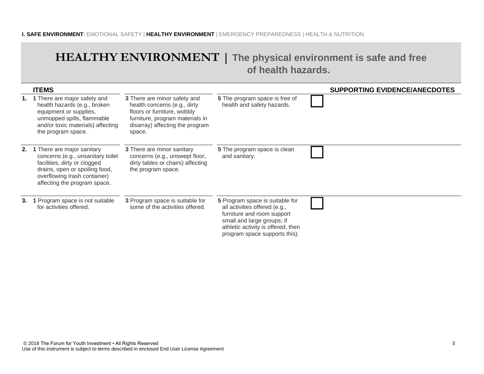#### **I. SAFE ENVIRONMENT**: EMOTIONAL SAFETY | **HEALTHY ENVIRONMENT** | EMERGENCY PREPAREDNESS | HEALTH & NUTRITION

### **HEALTHY ENVIRONMENT | The physical environment is safe and free of health hazards.**

|    | <b>ITEMS</b>                                                                                                                                                                                         |                                                                                                                                                                             |                                                                                                                                                                                                     | <b>SUPPORTING EVIDENCE/ANECDOTES</b> |
|----|------------------------------------------------------------------------------------------------------------------------------------------------------------------------------------------------------|-----------------------------------------------------------------------------------------------------------------------------------------------------------------------------|-----------------------------------------------------------------------------------------------------------------------------------------------------------------------------------------------------|--------------------------------------|
|    | 1. 1 There are major safety and<br>health hazards (e.g., broken<br>equipment or supplies,<br>unmopped spills, flammable<br>and/or toxic materials) affecting<br>the program space.                   | 3 There are minor safety and<br>health concerns (e.g., dirty<br>floors or furniture, wobbly<br>furniture, program materials in<br>disarray) affecting the program<br>space. | 5 The program space is free of<br>health and safety hazards.                                                                                                                                        |                                      |
|    | 2. 1 There are major sanitary<br>concerns (e.g., unsanitary toilet<br>facilities, dirty or clogged<br>drains, open or spoiling food,<br>overflowing trash container)<br>affecting the program space. | <b>3</b> There are minor sanitary<br>concerns (e.g., unswept floor,<br>dirty tables or chairs) affecting<br>the program space.                                              | <b>5</b> The program space is clean<br>and sanitary.                                                                                                                                                |                                      |
| 3. | 1 Program space is not suitable<br>for activities offered.                                                                                                                                           | <b>3</b> Program space is suitable for<br>some of the activities offered.                                                                                                   | 5 Program space is suitable for<br>all activities offered (e.g.,<br>furniture and room support<br>small and large groups; if<br>athletic activity is offered, then<br>program space supports this). |                                      |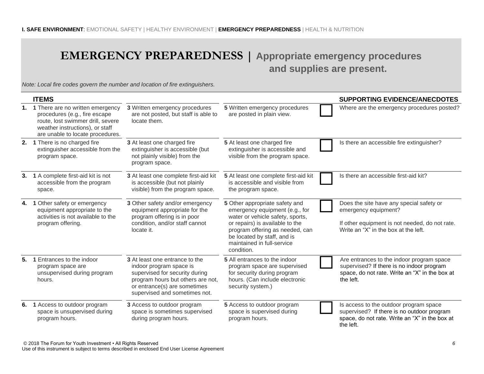## **EMERGENCY PREPAREDNESS | Appropriate emergency procedures**

## **and supplies are present.**

*Note: Local fire codes govern the number and location of fire extinguishers.*

|                | <b>ITEMS</b>                                                                                                                                                                     |                                                                                                                                                                                                   |                                                                                                                                                                                                                                                       | <b>SUPPORTING EVIDENCE/ANECDOTES</b>                                                                                                                       |
|----------------|----------------------------------------------------------------------------------------------------------------------------------------------------------------------------------|---------------------------------------------------------------------------------------------------------------------------------------------------------------------------------------------------|-------------------------------------------------------------------------------------------------------------------------------------------------------------------------------------------------------------------------------------------------------|------------------------------------------------------------------------------------------------------------------------------------------------------------|
|                | 1. 1 There are no written emergency<br>procedures (e.g., fire escape<br>route, lost swimmer drill, severe<br>weather instructions), or staff<br>are unable to locate procedures. | 3 Written emergency procedures<br>are not posted, but staff is able to<br>locate them.                                                                                                            | 5 Written emergency procedures<br>are posted in plain view.                                                                                                                                                                                           | Where are the emergency procedures posted?                                                                                                                 |
|                | 2. 1 There is no charged fire<br>extinguisher accessible from the<br>program space.                                                                                              | 3 At least one charged fire<br>extinguisher is accessible (but<br>not plainly visible) from the<br>program space.                                                                                 | 5 At least one charged fire<br>extinguisher is accessible and<br>visible from the program space.                                                                                                                                                      | Is there an accessible fire extinguisher?                                                                                                                  |
| 3.             | 1 A complete first-aid kit is not<br>accessible from the program<br>space.                                                                                                       | 3 At least one complete first-aid kit<br>is accessible (but not plainly<br>visible) from the program space.                                                                                       | 5 At least one complete first-aid kit<br>is accessible and visible from<br>the program space.                                                                                                                                                         | Is there an accessible first-aid kit?                                                                                                                      |
| 4.             | 1 Other safety or emergency<br>equipment appropriate to the<br>activities is not available to the<br>program offering.                                                           | 3 Other safety and/or emergency<br>equipment appropriate for the<br>program offering is in poor<br>condition, and/or staff cannot<br>locate it.                                                   | 5 Other appropriate safety and<br>emergency equipment (e.g., for<br>water or vehicle safety, sports,<br>or repairs) is available to the<br>program offering as needed, can<br>be located by staff, and is<br>maintained in full-service<br>condition. | Does the site have any special safety or<br>emergency equipment?<br>If other equipment is not needed, do not rate.<br>Write an "X" in the box at the left. |
| 5 <sub>1</sub> | 1 Entrances to the indoor<br>program space are<br>unsupervised during program<br>hours.                                                                                          | 3 At least one entrance to the<br>indoor program space is<br>supervised for security during<br>program hours but others are not,<br>or entrance(s) are sometimes<br>supervised and sometimes not. | 5 All entrances to the indoor<br>program space are supervised<br>for security during program<br>hours. (Can include electronic<br>security system.)                                                                                                   | Are entrances to the indoor program space<br>supervised? If there is no indoor program<br>space, do not rate. Write an "X" in the box at<br>the left.      |
| 6.             | 1 Access to outdoor program<br>space is unsupervised during<br>program hours.                                                                                                    | 3 Access to outdoor program<br>space is sometimes supervised<br>during program hours.                                                                                                             | 5 Access to outdoor program<br>space is supervised during<br>program hours.                                                                                                                                                                           | Is access to the outdoor program space<br>supervised? If there is no outdoor program<br>space, do not rate. Write an "X" in the box at<br>the left.        |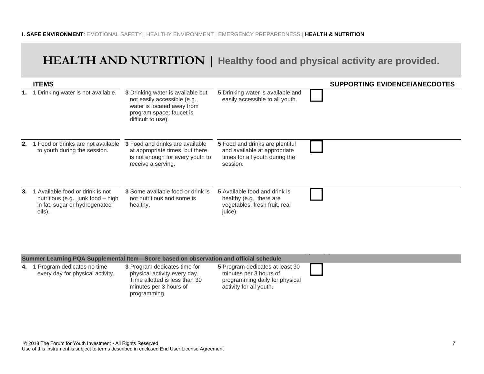## **HEALTH AND NUTRITION | Healthy food and physical activity are provided.**

|         | <b>ITEMS</b>                                                                                                      |                                                                                                                                                          |                                                                                                                      | <b>SUPPORTING EVIDENCE/ANECDOTES</b> |
|---------|-------------------------------------------------------------------------------------------------------------------|----------------------------------------------------------------------------------------------------------------------------------------------------------|----------------------------------------------------------------------------------------------------------------------|--------------------------------------|
|         | 1 Drinking water is not available.                                                                                | <b>3</b> Drinking water is available but<br>not easily accessible (e.g.,<br>water is located away from<br>program space; faucet is<br>difficult to use). | 5 Drinking water is available and<br>easily accessible to all youth.                                                 |                                      |
|         | 1 Food or drinks are not available<br>to youth during the session.                                                | <b>3</b> Food and drinks are available<br>at appropriate times, but there<br>is not enough for every youth to<br>receive a serving.                      | <b>5</b> Food and drinks are plentiful<br>and available at appropriate<br>times for all youth during the<br>session. |                                      |
| $3_{-}$ | 1 Available food or drink is not<br>nutritious (e.g., junk food – high<br>in fat, sugar or hydrogenated<br>oils). | 3 Some available food or drink is<br>not nutritious and some is<br>healthy.                                                                              | 5 Available food and drink is<br>healthy (e.g., there are<br>vegetables, fresh fruit, real<br>juice).                |                                      |

#### **Summer Learning PQA Supplemental Item—Score based on observation and official schedule**

| <b>PARTIST FOR THING I WIT ON PROTIOLISM</b> HOLD OVOID NADDA ON OUT AND THANGH MIN OTHORNIO |                                                                                                                                         |                                                                                                                        |  |  |  |  |
|----------------------------------------------------------------------------------------------|-----------------------------------------------------------------------------------------------------------------------------------------|------------------------------------------------------------------------------------------------------------------------|--|--|--|--|
| 4. 1 Program dedicates no time<br>every day for physical activity.                           | 3 Program dedicates time for<br>physical activity every day.<br>Time allotted is less than 30<br>minutes per 3 hours of<br>programming. | 5 Program dedicates at least 30<br>minutes per 3 hours of<br>programming daily for physical<br>activity for all youth. |  |  |  |  |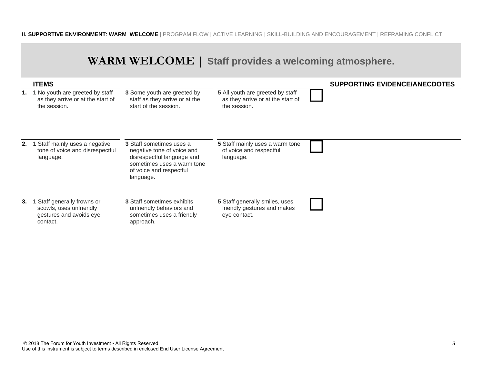#### **II. SUPPORTIVE ENVIRONMENT**: **WARM WELCOME** | PROGRAM FLOW | ACTIVE LEARNING | SKILL-BUILDING AND ENCOURAGEMENT | REFRAMING CONFLICT

|    |                                                                                               |                                                                                                                                                            | WARM WELCOME   Staff provides a welcoming atmosphere.                                 |                                      |  |
|----|-----------------------------------------------------------------------------------------------|------------------------------------------------------------------------------------------------------------------------------------------------------------|---------------------------------------------------------------------------------------|--------------------------------------|--|
|    | <b>ITEMS</b>                                                                                  |                                                                                                                                                            |                                                                                       | <b>SUPPORTING EVIDENCE/ANECDOTES</b> |  |
| 1. | 1 No youth are greeted by staff<br>as they arrive or at the start of<br>the session.          | 3 Some youth are greeted by<br>staff as they arrive or at the<br>start of the session.                                                                     | 5 All youth are greeted by staff<br>as they arrive or at the start of<br>the session. |                                      |  |
| 2. | 1 Staff mainly uses a negative<br>tone of voice and disrespectful<br>language.                | 3 Staff sometimes uses a<br>negative tone of voice and<br>disrespectful language and<br>sometimes uses a warm tone<br>of voice and respectful<br>language. | 5 Staff mainly uses a warm tone<br>of voice and respectful<br>language.               |                                      |  |
| 3. | 1 Staff generally frowns or<br>scowls, uses unfriendly<br>gestures and avoids eye<br>contact. | <b>3 Staff sometimes exhibits</b><br>unfriendly behaviors and<br>sometimes uses a friendly<br>approach.                                                    | 5 Staff generally smiles, uses<br>friendly gestures and makes<br>eye contact.         |                                      |  |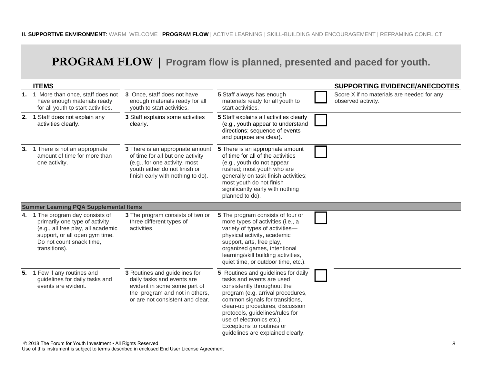## **PROGRAM FLOW | Program flow is planned, presented and paced for youth.**

| <b>ITEMS</b>                                                                                                                                                                            |                                                                                                                                                                             |                                                                                                                                                                                                                                                                                                                                              | <b>SUPPORTING EVIDENCE/ANECDOTES</b>                             |
|-----------------------------------------------------------------------------------------------------------------------------------------------------------------------------------------|-----------------------------------------------------------------------------------------------------------------------------------------------------------------------------|----------------------------------------------------------------------------------------------------------------------------------------------------------------------------------------------------------------------------------------------------------------------------------------------------------------------------------------------|------------------------------------------------------------------|
| 1. 1 More than once, staff does not<br>have enough materials ready<br>for all youth to start activities.                                                                                | 3 Once, staff does not have<br>enough materials ready for all<br>youth to start activities.                                                                                 | 5 Staff always has enough<br>materials ready for all youth to<br>start activities.                                                                                                                                                                                                                                                           | Score X if no materials are needed for any<br>observed activity. |
| 2. 1 Staff does not explain any<br>activities clearly.                                                                                                                                  | 3 Staff explains some activities<br>clearly.                                                                                                                                | 5 Staff explains all activities clearly<br>(e.g., youth appear to understand<br>directions; sequence of events<br>and purpose are clear).                                                                                                                                                                                                    |                                                                  |
| 3. 1 There is not an appropriate<br>amount of time for more than<br>one activity.                                                                                                       | 3 There is an appropriate amount<br>of time for all but one activity<br>(e.g., for one activity, most<br>youth either do not finish or<br>finish early with nothing to do). | 5 There is an appropriate amount<br>of time for all of the activities<br>(e.g., youth do not appear<br>rushed; most youth who are<br>generally on task finish activities;<br>most youth do not finish<br>significantly early with nothing<br>planned to do).                                                                                 |                                                                  |
| <b>Summer Learning PQA Supplemental Items</b>                                                                                                                                           |                                                                                                                                                                             |                                                                                                                                                                                                                                                                                                                                              |                                                                  |
| 4. 1 The program day consists of<br>primarily one type of activity<br>(e.g., all free play, all academic<br>support, or all open gym time.<br>Do not count snack time,<br>transitions). | 3 The program consists of two or<br>three different types of<br>activities.                                                                                                 | 5 The program consists of four or<br>more types of activities (i.e., a<br>variety of types of activities-<br>physical activity, academic<br>support, arts, free play,<br>organized games, intentional<br>learning/skill building activities,<br>quiet time, or outdoor time, etc.).                                                          |                                                                  |
| 5. 1 Few if any routines and<br>guidelines for daily tasks and<br>events are evident.                                                                                                   | 3 Routines and guidelines for<br>daily tasks and events are<br>evident in some some part of<br>the program and not in others,<br>or are not consistent and clear.           | 5 Routines and guidelines for daily<br>tasks and events are used<br>consistently throughout the<br>program (e.g, arrival procedures,<br>common signals for transitions,<br>clean-up procedures, discussion<br>protocols, guidelines/rules for<br>use of electronics etc.).<br>Exceptions to routines or<br>guidelines are explained clearly. |                                                                  |

Use of this instrument is subject to terms described in enclosed End User License Agreement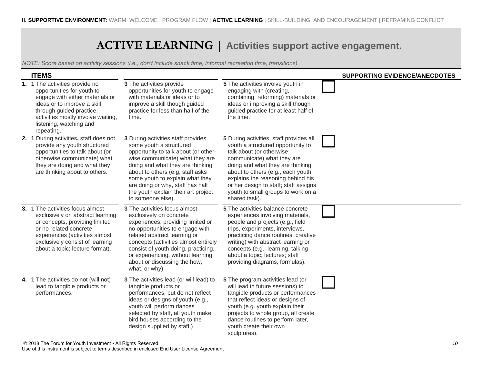## **ACTIVE LEARNING | Activities support active engagement.**

| <b>ITEMS</b>                                                                                                                                                                                                                              |                                                                                                                                                                                                                                                                                                                                                      |                                                                                                                                                                                                                                                                                                                                                      | <b>SUPPORTING EVIDENCE/ANECDOTES</b> |
|-------------------------------------------------------------------------------------------------------------------------------------------------------------------------------------------------------------------------------------------|------------------------------------------------------------------------------------------------------------------------------------------------------------------------------------------------------------------------------------------------------------------------------------------------------------------------------------------------------|------------------------------------------------------------------------------------------------------------------------------------------------------------------------------------------------------------------------------------------------------------------------------------------------------------------------------------------------------|--------------------------------------|
| 1. 1 The activities provide no<br>opportunities for youth to<br>engage with either materials or<br>ideas or to improve a skill<br>through guided practice;<br>activities mostly involve waiting,<br>listening, watching and<br>repeating. | 3 The activities provide<br>opportunities for youth to engage<br>with materials or ideas or to<br>improve a skill though guided<br>practice for less than half of the<br>time.                                                                                                                                                                       | 5 The activities involve youth in<br>engaging with (creating,<br>combining, reforming) materials or<br>ideas or improving a skill though<br>guided practice for at least half of<br>the time.                                                                                                                                                        |                                      |
| 2. 1 During activities, staff does not<br>provide any youth structured<br>opportunities to talk about (or<br>otherwise communicate) what<br>they are doing and what they<br>are thinking about to others.                                 | 3 During activities, staff provides<br>some youth a structured<br>opportunity to talk about (or other-<br>wise communicate) what they are<br>doing and what they are thinking<br>about to others (e.g, staff asks<br>some youth to explain what they<br>are doing or why, staff has half<br>the youth explain their art project<br>to someone else). | 5 During activities, staff provides all<br>youth a structured opportunity to<br>talk about (or otherwise<br>communicate) what they are<br>doing and what they are thinking<br>about to others (e.g., each youth<br>explains the reasoning behind his<br>or her design to staff; staff assigns<br>youth to small groups to work on a<br>shared task). |                                      |
| 3. 1 The activities focus almost<br>exclusively on abstract learning<br>or concepts, providing limited<br>or no related concrete<br>experiences (activities almost<br>exclusively consist of learning<br>about a topic; lecture format).  | <b>3</b> The activities focus almost<br>exclusively on concrete<br>experiences, providing limited or<br>no opportunities to engage with<br>related abstract learning or<br>concepts (activities almost entirely<br>consist of youth doing, practicing,<br>or experiencing, without learning<br>about or discussing the how,<br>what, or why).        | 5 The activities balance concrete<br>experiences involving materials,<br>people and projects (e.g., field<br>trips, experiments, interviews,<br>practicing dance routines, creative<br>writing) with abstract learning or<br>concepts (e.g., learning, talking<br>about a topic; lectures; staff<br>providing diagrams, formulas).                   |                                      |
| 4. 1 The activities do not (will not)<br>lead to tangible products or<br>performances.                                                                                                                                                    | 3 The activities lead (or will lead) to<br>tangible products or<br>performances, but do not reflect<br>ideas or designs of youth (e.g.,<br>youth will perform dances<br>selected by staff, all youth make<br>bird houses according to the<br>design supplied by staff.)                                                                              | 5 The program activities lead (or<br>will lead in future sessions) to<br>tangible products or performances<br>that reflect ideas or designs of<br>youth (e.g. youth explain their<br>projects to whole group, all create<br>dance routines to perform later,<br>youth create their own<br>sculptures).                                               |                                      |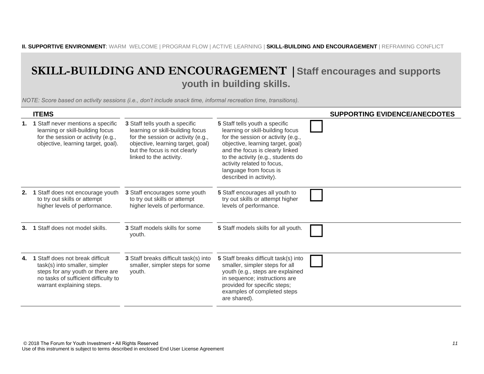## **SKILL-BUILDING AND ENCOURAGEMENT |Staff encourages and supports youth in building skills.**

|    | <b>ITEMS</b>                                                                                                                                                               |                                                                                                                                                                                                          |                                                                                                                                                                                                                                                                                                           | <b>SUPPORTING EVIDENCE/ANECDOTES</b> |
|----|----------------------------------------------------------------------------------------------------------------------------------------------------------------------------|----------------------------------------------------------------------------------------------------------------------------------------------------------------------------------------------------------|-----------------------------------------------------------------------------------------------------------------------------------------------------------------------------------------------------------------------------------------------------------------------------------------------------------|--------------------------------------|
|    | 1 Staff never mentions a specific<br>learning or skill-building focus<br>for the session or activity (e.g.,<br>objective, learning target, goal).                          | 3 Staff tells youth a specific<br>learning or skill-building focus<br>for the session or activity (e.g.,<br>objective, learning target, goal)<br>but the focus is not clearly<br>linked to the activity. | 5 Staff tells youth a specific<br>learning or skill-building focus<br>for the session or activity (e.g.,<br>objective, learning target, goal)<br>and the focus is clearly linked<br>to the activity (e.g., students do<br>activity related to focus,<br>language from focus is<br>described in activity). |                                      |
| 2. | 1 Staff does not encourage youth<br>to try out skills or attempt<br>higher levels of performance.                                                                          | 3 Staff encourages some youth<br>to try out skills or attempt<br>higher levels of performance.                                                                                                           | 5 Staff encourages all youth to<br>try out skills or attempt higher<br>levels of performance.                                                                                                                                                                                                             |                                      |
|    | 1 Staff does not model skills.                                                                                                                                             | 3 Staff models skills for some<br>youth.                                                                                                                                                                 | 5 Staff models skills for all youth.                                                                                                                                                                                                                                                                      |                                      |
| 4. | 1 Staff does not break difficult<br>task(s) into smaller, simpler<br>steps for any youth or there are<br>no tasks of sufficient difficulty to<br>warrant explaining steps. | 3 Staff breaks difficult task(s) into<br>smaller, simpler steps for some<br>youth.                                                                                                                       | 5 Staff breaks difficult task(s) into<br>smaller, simpler steps for all<br>youth (e.g., steps are explained<br>in sequence; instructions are<br>provided for specific steps;<br>examples of completed steps<br>are shared).                                                                               |                                      |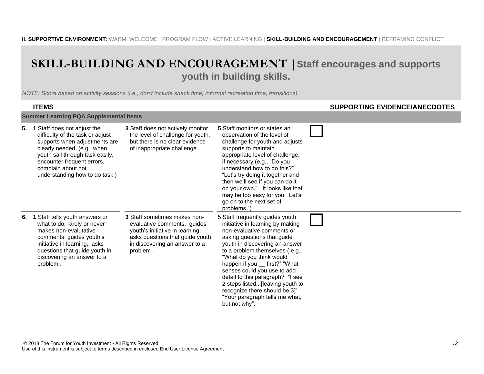#### **SKILL-BUILDING AND ENCOURAGEMENT |Staff encourages and supports youth in building skills.**

|    | <b>ITEMS</b>                                                                                                                                                                                                                                                |                                                                                                                                                                                |                                                                                                                                                                                                                                                                                                                                                                                                                                                               | <b>SUPPORTING EVIDENCE/ANECDOTES</b> |  |
|----|-------------------------------------------------------------------------------------------------------------------------------------------------------------------------------------------------------------------------------------------------------------|--------------------------------------------------------------------------------------------------------------------------------------------------------------------------------|---------------------------------------------------------------------------------------------------------------------------------------------------------------------------------------------------------------------------------------------------------------------------------------------------------------------------------------------------------------------------------------------------------------------------------------------------------------|--------------------------------------|--|
|    | <b>Summer Learning PQA Supplemental Items</b>                                                                                                                                                                                                               |                                                                                                                                                                                |                                                                                                                                                                                                                                                                                                                                                                                                                                                               |                                      |  |
|    | 5. 1 Staff does not adjust the<br>difficulty of the task or adjust<br>supports when adjustments are<br>clearly needed, (e.g., when<br>youth sail through task easily,<br>encounter frequent errors,<br>complain about not<br>understanding how to do task.) | 3 Staff does not actively monitor<br>the level of challenge for youth,<br>but there is no clear evidence<br>of inappropriate challenge.                                        | 5 Staff monitors or states an<br>observation of the level of<br>challenge for youth and adjusts<br>supports to maintain<br>appropriate level of challenge,<br>if necessary (e.g., "Do you<br>understand how to do this?"<br>"Let's try doing it together and<br>then we'll see if you can do it<br>on your own." "It looks like that<br>may be too easy for you. Let's<br>go on to the next set of<br>problems.")                                             |                                      |  |
| 6. | 1 Staff tells youth answers or<br>what to do; rarely or never<br>makes non-evalutative<br>comments, guides youth's<br>initiative in learning, asks<br>questions that guide youth in<br>discovering an answer to a<br>problem.                               | 3 Staff sometimes makes non-<br>evaluative comments, guides<br>youth's initiative in learning,<br>asks questions that guide youth<br>in discovering an answer to a<br>problem. | 5 Staff frequently guides youth<br>initiative in learning by making<br>non-evaluative comments or<br>asking questions that guide<br>youth in discovering an answer<br>to a problem themselves (e.g.,<br>"What do you think would<br>happen if you __ first?" "What<br>senses could you use to add<br>detail to this paragraph?" "I see<br>2 steps listed[leaving youth to<br>recognize there should be 3]"<br>"Your paragraph tells me what,<br>but not why". |                                      |  |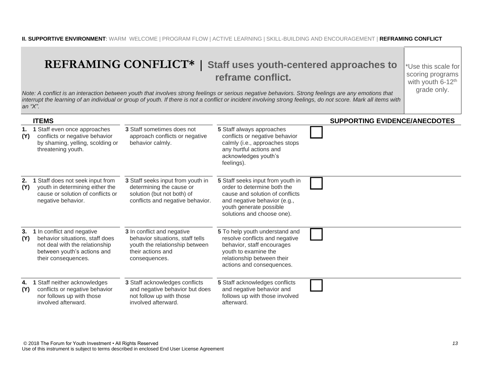#### **II. SUPPORTIVE ENVIRONMENT**: WARM WELCOME | PROGRAM FLOW | ACTIVE LEARNING | SKILL-BUILDING AND ENCOURAGEMENT | **REFRAMING CONFLICT**

#### **REFRAMING CONFLICT\* | Staff uses youth-centered approaches to reframe conflict.**

\*Use this scale for scoring programs with youth  $6-12$ <sup>th</sup> grade only.

*Note: A conflict is an interaction between youth that involves strong feelings or serious negative behaviors. Strong feelings are any emotions that*  interrupt the learning of an individual or group of youth. If there is not a conflict or incident involving strong feelings, do not score. Mark all items with *an "X".* 

| <b>ITEMS</b>                                                                                                                                                       |                                                                                                                                        |                                                                                                                                                                                              | <b>SUPPORTING EVIDENCE/ANECDOTES</b> |
|--------------------------------------------------------------------------------------------------------------------------------------------------------------------|----------------------------------------------------------------------------------------------------------------------------------------|----------------------------------------------------------------------------------------------------------------------------------------------------------------------------------------------|--------------------------------------|
| 1 Staff even once approaches<br>1.<br>conflicts or negative behavior<br>(Y)<br>by shaming, yelling, scolding or<br>threatening youth.                              | 3 Staff sometimes does not<br>approach conflicts or negative<br>behavior calmly.                                                       | 5 Staff always approaches<br>conflicts or negative behavior<br>calmly (i.e., approaches stops<br>any hurtful actions and<br>acknowledges youth's<br>feelings).                               |                                      |
| 1 Staff does not seek input from<br>2.<br>youth in determining either the<br>(Y)<br>cause or solution of conflicts or<br>negative behavior.                        | 3 Staff seeks input from youth in<br>determining the cause or<br>solution (but not both) of<br>conflicts and negative behavior.        | 5 Staff seeks input from youth in<br>order to determine both the<br>cause and solution of conflicts<br>and negative behavior (e.g.,<br>youth generate possible<br>solutions and choose one). |                                      |
| 1 In conflict and negative<br>3.<br>behavior situations, staff does<br>(Y)<br>not deal with the relationship<br>between youth's actions and<br>their consequences. | 3 In conflict and negative<br>behavior situations, staff tells<br>youth the relationship between<br>their actions and<br>consequences. | 5 To help youth understand and<br>resolve conflicts and negative<br>behavior, staff encourages<br>youth to examine the<br>relationship between their<br>actions and consequences.            |                                      |
| 1 Staff neither acknowledges<br>4.<br>conflicts or negative behavior<br>(Y)<br>nor follows up with those<br>involved afterward.                                    | 3 Staff acknowledges conflicts<br>and negative behavior but does<br>not follow up with those<br>involved afterward.                    | 5 Staff acknowledges conflicts<br>and negative behavior and<br>follows up with those involved<br>afterward.                                                                                  |                                      |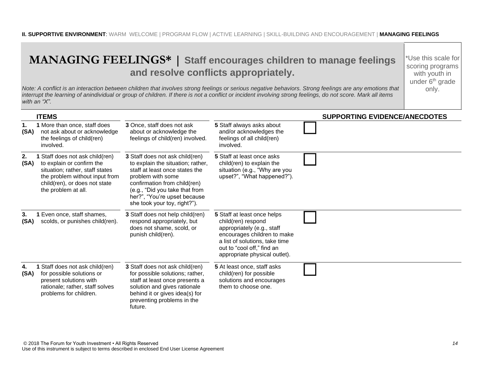## **MANAGING FEELINGS\* | Staff encourages children to manage feelings and resolve conflicts appropriately.**

\*Use this scale for scoring programs with youth in under 6<sup>th</sup> grade only.

*Note: A conflict is an interaction between children that involves strong feelings or serious negative behaviors. Strong feelings are any emotions that interrupt the learning of anindividual or group of children. If there is not a conflict or incident involving strong feelings, do not score. Mark all items with an "X".*

| <b>ITEMS</b>                                                                                                                                                                                            |                                                                                                                                                                                                                                                               |                                                                                                                                                                                                                 | <b>SUPPORTING EVIDENCE/ANECDOTES</b> |
|---------------------------------------------------------------------------------------------------------------------------------------------------------------------------------------------------------|---------------------------------------------------------------------------------------------------------------------------------------------------------------------------------------------------------------------------------------------------------------|-----------------------------------------------------------------------------------------------------------------------------------------------------------------------------------------------------------------|--------------------------------------|
| 1 More than once, staff does<br>1.<br>(SA)<br>not ask about or acknowledge<br>the feelings of child(ren)<br>involved.                                                                                   | 3 Once, staff does not ask<br>about or acknowledge the<br>feelings of child(ren) involved.                                                                                                                                                                    | 5 Staff always asks about<br>and/or acknowledges the<br>feelings of all child(ren)<br>involved.                                                                                                                 |                                      |
| 1 Staff does not ask child(ren)<br>2.<br>to explain or confirm the<br>(SA)<br>situation; rather, staff states<br>the problem without input from<br>child(ren), or does not state<br>the problem at all. | 3 Staff does not ask child(ren)<br>to explain the situation; rather,<br>staff at least once states the<br>problem with some<br>confirmation from child(ren)<br>(e.g., "Did you take that from<br>her?", "You're upset because<br>she took your toy, right?"). | 5 Staff at least once asks<br>child(ren) to explain the<br>situation (e.g., "Why are you<br>upset?", "What happened?").                                                                                         |                                      |
| 1 Even once, staff shames,<br>3.<br>scolds, or punishes child(ren).<br>(SA)                                                                                                                             | 3 Staff does not help child(ren)<br>respond appropriately, but<br>does not shame, scold, or<br>punish child(ren).                                                                                                                                             | 5 Staff at least once helps<br>child(ren) respond<br>appropriately (e.g., staff<br>encourages children to make<br>a list of solutions, take time<br>out to "cool off," find an<br>appropriate physical outlet). |                                      |
| 1 Staff does not ask child(ren)<br>4.<br>for possible solutions or<br>(SA)<br>present solutions with<br>rationale; rather, staff solves<br>problems for children.                                       | 3 Staff does not ask child(ren)<br>for possible solutions; rather,<br>staff at least once presents a<br>solution and gives rationale<br>behind it or gives idea(s) for<br>preventing problems in the<br>future.                                               | 5 At least once, staff asks<br>child(ren) for possible<br>solutions and encourages<br>them to choose one.                                                                                                       |                                      |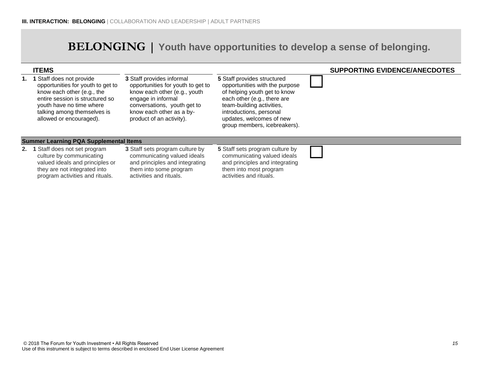## **BELONGING | Youth have opportunities to develop a sense of belonging.**

| <b>ITEMS</b>                                                                                                                                                                                                               |                                                                                                                                                                                                             |                                                                                                                                                                                                                                                  | <b>SUPPORTING EVIDENCE/ANECDOTES</b> |
|----------------------------------------------------------------------------------------------------------------------------------------------------------------------------------------------------------------------------|-------------------------------------------------------------------------------------------------------------------------------------------------------------------------------------------------------------|--------------------------------------------------------------------------------------------------------------------------------------------------------------------------------------------------------------------------------------------------|--------------------------------------|
| Staff does not provide<br>1. 1<br>opportunities for youth to get to<br>know each other (e.g., the<br>entire session is structured so<br>youth have no time where<br>talking among themselves is<br>allowed or encouraged). | 3 Staff provides informal<br>opportunities for youth to get to<br>know each other (e.g., youth<br>engage in informal<br>conversations, youth get to<br>know each other as a by-<br>product of an activity). | 5 Staff provides structured<br>opportunities with the purpose<br>of helping youth get to know<br>each other (e.g., there are<br>team-building activities,<br>introductions, personal<br>updates, welcomes of new<br>group members, icebreakers). |                                      |
| <b>Summer Learning PQA Supplemental Items</b>                                                                                                                                                                              |                                                                                                                                                                                                             |                                                                                                                                                                                                                                                  |                                      |
| 2. 1 Staff does not set program<br>culture by communicating<br>valued ideals and principles or<br>they are not integrated into<br>program activities and rituals.                                                          | <b>3</b> Staff sets program culture by<br>communicating valued ideals<br>and principles and integrating<br>them into some program<br>activities and rituals.                                                | 5 Staff sets program culture by<br>communicating valued ideals<br>and principles and integrating<br>them into most program<br>activities and rituals.                                                                                            |                                      |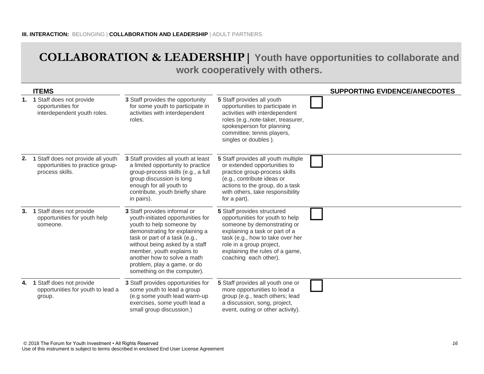#### **COLLABORATION & LEADERSHIP| Youth have opportunities to collaborate and work cooperatively with others.**

|    | <b>ITEMS</b>                                                                              |                                                                                                                                                                                                                                                                                                                              |                                                                                                                                                                                                                                                             | <b>SUPPORTING EVIDENCE/ANECDOTES</b> |
|----|-------------------------------------------------------------------------------------------|------------------------------------------------------------------------------------------------------------------------------------------------------------------------------------------------------------------------------------------------------------------------------------------------------------------------------|-------------------------------------------------------------------------------------------------------------------------------------------------------------------------------------------------------------------------------------------------------------|--------------------------------------|
| 1. | 1 Staff does not provide<br>opportunities for<br>interdependent youth roles.              | 3 Staff provides the opportunity<br>for some youth to participate in<br>activities with interdependent<br>roles.                                                                                                                                                                                                             | 5 Staff provides all youth<br>opportunities to participate in<br>activities with interdependent<br>roles (e.g., note-taker, treasurer,<br>spokesperson for planning<br>committee; tennis players,<br>singles or doubles).                                   |                                      |
| 2. | 1 Staff does not provide all youth<br>opportunities to practice group-<br>process skills. | 3 Staff provides all youth at least<br>a limited opportunity to practice<br>group-process skills (e.g., a full<br>group discussion is long<br>enough for all youth to<br>contribute, youth briefly share<br>in pairs).                                                                                                       | 5 Staff provides all youth multiple<br>or extended opportunities to<br>practice group-process skills<br>(e.g., contribute ideas or<br>actions to the group, do a task<br>with others, take responsibility<br>for a part).                                   |                                      |
| 3. | 1 Staff does not provide<br>opportunities for youth help<br>someone.                      | 3 Staff provides informal or<br>youth-initiated opportunities for<br>youth to help someone by<br>demonstrating for explaining a<br>task or part of a task (e.g.,<br>without being asked by a staff<br>member, youth explains to<br>another how to solve a math<br>problem, play a game, or do<br>something on the computer). | 5 Staff provides structured<br>opportunities for youth to help<br>someone by demonstrating or<br>explaining a task or part of a<br>task (e.g., how to take over her<br>role in a group project,<br>explaining the rules of a game,<br>coaching each other). |                                      |
| 4. | 1 Staff does not provide<br>opportunities for youth to lead a<br>group.                   | 3 Staff provides opportunities for<br>some youth to lead a group<br>(e.g some youth lead warm-up<br>exercises, some youth lead a<br>small group discussion.)                                                                                                                                                                 | 5 Staff provides all youth one or<br>more opportunities to lead a<br>group (e.g., teach others; lead<br>a discussion, song, project,<br>event, outing or other activity).                                                                                   |                                      |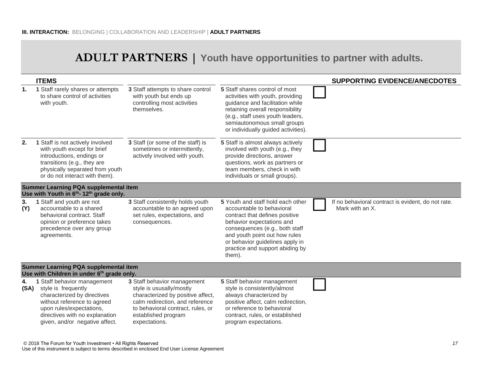## **ADULT PARTNERS | Youth have opportunities to partner with adults.**

|                | <b>ITEMS</b>                                                                                                                                                                                                     |                                                                                                                                                                                                              |                                                                                                                                                                                                                                                                                  | <b>SUPPORTING EVIDENCE/ANECDOTES</b>                                  |
|----------------|------------------------------------------------------------------------------------------------------------------------------------------------------------------------------------------------------------------|--------------------------------------------------------------------------------------------------------------------------------------------------------------------------------------------------------------|----------------------------------------------------------------------------------------------------------------------------------------------------------------------------------------------------------------------------------------------------------------------------------|-----------------------------------------------------------------------|
| $\mathbf{1}$ . | 1 Staff rarely shares or attempts<br>to share control of activities<br>with youth.                                                                                                                               | 3 Staff attempts to share control<br>with youth but ends up<br>controlling most activities<br>themselves.                                                                                                    | 5 Staff shares control of most<br>activities with youth, providing<br>guidance and facilitation while<br>retaining overall responsibility<br>(e.g., staff uses youth leaders,<br>semiautonomous small groups<br>or individually guided activities).                              |                                                                       |
| 2.             | 1 Staff is not actively involved<br>with youth except for brief<br>introductions, endings or<br>transitions (e.g., they are<br>physically separated from youth<br>or do not interact with them).                 | 3 Staff (or some of the staff) is<br>sometimes or intermittently,<br>actively involved with youth.                                                                                                           | 5 Staff is almost always actively<br>involved with youth (e.g., they<br>provide directions, answer<br>questions, work as partners or<br>team members, check in with<br>individuals or small groups).                                                                             |                                                                       |
|                | Summer Learning PQA supplemental item<br>Use with Youth in 6 <sup>th</sup> - 12 <sup>th</sup> grade only.                                                                                                        |                                                                                                                                                                                                              |                                                                                                                                                                                                                                                                                  |                                                                       |
| 3.<br>(Y)      | 1 Staff and youth are not<br>accountable to a shared<br>behavioral contract. Staff<br>opinion or preference takes<br>precedence over any group<br>agreements.                                                    | 3 Staff consistently holds youth<br>accountable to an agreed upon<br>set rules, expectations, and<br>consequences.                                                                                           | 5 Youth and staff hold each other<br>accountable to behavioral<br>contract that defines positive<br>behavior expectations and<br>consequences (e.g., both staff<br>and youth point out how rules<br>or behavior guidelines apply in<br>practice and support abiding by<br>them). | If no behavioral contract is evident, do not rate.<br>Mark with an X. |
|                | Summer Learning PQA supplemental item<br>Use with Children in under 6 <sup>th</sup> grade only.                                                                                                                  |                                                                                                                                                                                                              |                                                                                                                                                                                                                                                                                  |                                                                       |
| 4.<br>(SA)     | 1 Staff behavior management<br>style is frequently<br>characterized by directives<br>without reference to agreed<br>upon rules/expectations,<br>directives with no explanation<br>given, and/or negative affect. | 3 Staff behavior management<br>style is ususally/mostly<br>characterized by positive affect,<br>calm redirection, and reference<br>to behavioral contract, rules, or<br>established program<br>expectations. | 5 Staff behavior management<br>style is consistently/almost<br>always characterized by<br>positive affect, calm redirection,<br>or reference to behavioral<br>contract, rules, or established<br>program expectations.                                                           |                                                                       |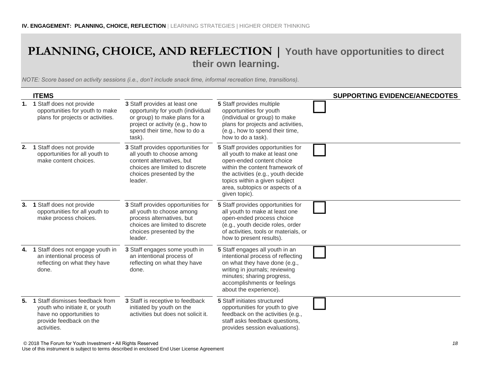## **PLANNING, CHOICE, AND REFLECTION | Youth have opportunities to direct their own learning.**

*NOTE: Score based on activity sessions (i.e., don't include snack time, informal recreation time, transitions).*

|    | <b>ITEMS</b>                                                                                                                             |                                                                                                                                                                                     |                                                                                                                                                                                                                                                                 | <b>SUPPORTING EVIDENCE/ANECDOTES</b> |
|----|------------------------------------------------------------------------------------------------------------------------------------------|-------------------------------------------------------------------------------------------------------------------------------------------------------------------------------------|-----------------------------------------------------------------------------------------------------------------------------------------------------------------------------------------------------------------------------------------------------------------|--------------------------------------|
|    | 1. 1 Staff does not provide<br>opportunities for youth to make<br>plans for projects or activities.                                      | 3 Staff provides at least one<br>opportunity for youth (individual<br>or group) to make plans for a<br>project or activity (e.g., how to<br>spend their time, how to do a<br>task). | 5 Staff provides multiple<br>opportunities for youth<br>(individual or group) to make<br>plans for projects and activities,<br>(e.g., how to spend their time,<br>how to do a task).                                                                            |                                      |
| 2. | 1 Staff does not provide<br>opportunities for all youth to<br>make content choices.                                                      | 3 Staff provides opportunities for<br>all youth to choose among<br>content alternatives, but<br>choices are limited to discrete<br>choices presented by the<br>leader.              | 5 Staff provides opportunities for<br>all youth to make at least one<br>open-ended content choice<br>within the content framework of<br>the activities (e.g., youth decide<br>topics within a given subject<br>area, subtopics or aspects of a<br>given topic). |                                      |
| 3. | 1 Staff does not provide<br>opportunities for all youth to<br>make process choices.                                                      | 3 Staff provides opportunities for<br>all youth to choose among<br>process alternatives, but<br>choices are limited to discrete<br>choices presented by the<br>leader.              | 5 Staff provides opportunities for<br>all youth to make at least one<br>open-ended process choice<br>(e.g., youth decide roles, order<br>of activities, tools or materials, or<br>how to present results).                                                      |                                      |
|    | 4. 1 Staff does not engage youth in<br>an intentional process of<br>reflecting on what they have<br>done.                                | 3 Staff engages some youth in<br>an intentional process of<br>reflecting on what they have<br>done.                                                                                 | 5 Staff engages all youth in an<br>intentional process of reflecting<br>on what they have done (e.g.,<br>writing in journals; reviewing<br>minutes; sharing progress,<br>accomplishments or feelings<br>about the experience).                                  |                                      |
| 5. | 1 Staff dismisses feedback from<br>youth who initiate it, or youth<br>have no opportunities to<br>provide feedback on the<br>activities. | 3 Staff is receptive to feedback<br>initiated by youth on the<br>activities but does not solicit it.                                                                                | 5 Staff initiates structured<br>opportunities for youth to give<br>feedback on the activities (e.g.,<br>staff asks feedback questions,<br>provides session evaluations).                                                                                        |                                      |

© 2018 The Forum for Youth Investment • All Rights Reserved *18*

Use of this instrument is subject to terms described in enclosed End User License Agreement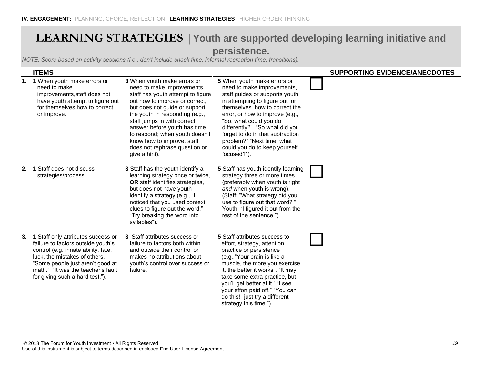#### **LEARNING STRATEGIES |Youth are supported developing learning initiative and persistence.**

|    | <b>ITEMS</b>                                                                                                                                                                                                                                                  |                                                                                                                                                                                                                                                                                                                                                                                      |                                                                                                                                                                                                                                                                                                                                                                                  | <b>SUPPORTING EVIDENCE/ANECDOTES</b> |
|----|---------------------------------------------------------------------------------------------------------------------------------------------------------------------------------------------------------------------------------------------------------------|--------------------------------------------------------------------------------------------------------------------------------------------------------------------------------------------------------------------------------------------------------------------------------------------------------------------------------------------------------------------------------------|----------------------------------------------------------------------------------------------------------------------------------------------------------------------------------------------------------------------------------------------------------------------------------------------------------------------------------------------------------------------------------|--------------------------------------|
|    | 1. 1 When youth make errors or<br>need to make<br>improvements, staff does not<br>have youth attempt to figure out<br>for themselves how to correct<br>or improve.                                                                                            | 3 When youth make errors or<br>need to make improvements,<br>staff has youth attempt to figure<br>out how to improve or correct,<br>but does not guide or support<br>the youth in responding (e.g.,<br>staff jumps in with correct<br>answer before youth has time<br>to respond; when youth doesn't<br>know how to improve, staff<br>does not rephrase question or<br>give a hint). | 5 When youth make errors or<br>need to make improvements,<br>staff guides or supports youth<br>in attempting to figure out for<br>themselves how to correct the<br>error, or how to improve (e.g.,<br>"So, what could you do<br>differently?" "So what did you<br>forget to do in that subtraction<br>problem?" "Next time, what<br>could you do to keep yourself<br>focused?"). |                                      |
| 2. | 1 Staff does not discuss<br>strategies/process.                                                                                                                                                                                                               | 3 Staff has the youth identify a<br>learning strategy once or twice,<br>OR staff identifies strategies,<br>but does not have youth<br>identify a strategy (e.g., "I<br>noticed that you used context<br>clues to figure out the word."<br>"Try breaking the word into<br>syllables").                                                                                                | 5 Staff has youth identify learning<br>strategy three or more times<br>(preferably when youth is right<br>and when youth is wrong).<br>(Staff: "What strategy did you<br>use to figure out that word? "<br>Youth: "I figured it out from the<br>rest of the sentence.")                                                                                                          |                                      |
| 3. | 1 Staff only attributes success or<br>failure to factors outside youth's<br>control (e.g. innate ability, fate,<br>luck, the mistakes of others.<br>"Some people just aren't good at<br>math." "It was the teacher's fault<br>for giving such a hard test."). | 3 Staff attributes success or<br>failure to factors both within<br>and outside their control or<br>makes no attributions about<br>youth's control over success or<br>failure.                                                                                                                                                                                                        | 5 Staff attributes success to<br>effort, strategy, attention,<br>practice or persistence<br>(e.g., "Your brain is like a<br>muscle, the more you exercise<br>it, the better it works", "It may<br>take some extra practice, but<br>you'll get better at it." "I see<br>your effort paid off." "You can<br>do this!--just try a different<br>strategy this time.")                |                                      |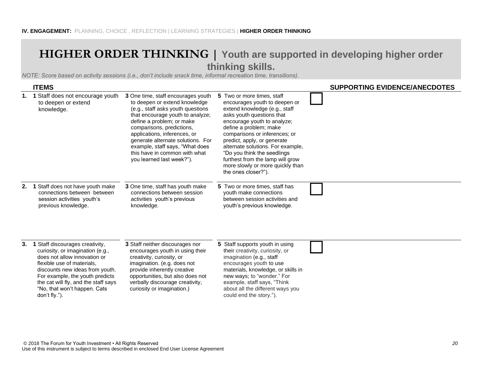#### **HIGHER ORDER THINKING | Youth are supported in developing higher order thinking skills.**

|    | <b>ITEMS</b>                                                                                                                                                                                                                                                                                     |                                                                                                                                                                                                                                                                                                                                                                              |                                                                                                                                                                                                                                                                                                                                                                                                                       | <b>SUPPORTING EVIDENCE/ANECDOTES</b> |
|----|--------------------------------------------------------------------------------------------------------------------------------------------------------------------------------------------------------------------------------------------------------------------------------------------------|------------------------------------------------------------------------------------------------------------------------------------------------------------------------------------------------------------------------------------------------------------------------------------------------------------------------------------------------------------------------------|-----------------------------------------------------------------------------------------------------------------------------------------------------------------------------------------------------------------------------------------------------------------------------------------------------------------------------------------------------------------------------------------------------------------------|--------------------------------------|
|    | 1. 1 Staff does not encourage youth<br>to deepen or extend<br>knowledge.                                                                                                                                                                                                                         | 3 One time, staff encourages youth<br>to deepen or extend knowledge<br>(e.g., staff asks youth questions<br>that encourage youth to analyze;<br>define a problem; or make<br>comparisons, predictions,<br>applications, inferences, or<br>generate alternate solutions. For<br>example, staff says, "What does<br>this have in common with what<br>you learned last week?"). | 5 Two or more times, staff<br>encourages youth to deepen or<br>extend knowledge (e.g., staff<br>asks youth questions that<br>encourage youth to analyze;<br>define a problem; make<br>comparisons or inferences; or<br>predict, apply, or generate<br>alternate solutions. For example,<br>"Do you think the seedlings<br>furthest from the lamp will grow<br>more slowly or more quickly than<br>the ones closer?"). |                                      |
| 2. | 1 Staff does not have youth make<br>connections between between<br>session activities youth's<br>previous knowledge.                                                                                                                                                                             | 3 One time, staff has youth make<br>connections between session<br>activities youth's previous<br>knowledge.                                                                                                                                                                                                                                                                 | 5 Two or more times, staff has<br>youth make connections<br>between session activities and<br>youth's previous knowledge.                                                                                                                                                                                                                                                                                             |                                      |
| 3. | 1 Staff discourages creativity,<br>curiosity, or imagination (e.g.,<br>does not allow innovation or<br>flexible use of materials,<br>discounts new ideas from youth.<br>For example, the youth predicts<br>the cat will fly, and the staff says<br>"No, that won't happen. Cats<br>don't fly."). | 3 Staff neither discourages nor<br>encourages youth in using their<br>creativity, curiosity, or<br>imagination. (e.g. does not<br>provide inherently creative<br>opportunities, but also does not<br>verbally discourage creativity,<br>curiosity or imagination.)                                                                                                           | 5 Staff supports youth in using<br>their creativity, curiosity, or<br>imagination (e.g., staff<br>encourages youth to use<br>materials, knowledge, or skills in<br>new ways; to "wonder." For<br>example, staff says, "Think<br>about all the different ways you<br>could end the story.").                                                                                                                           |                                      |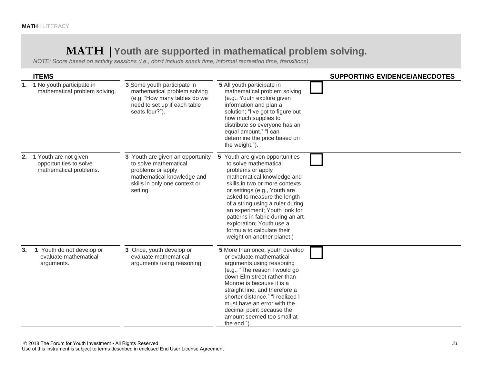## **MATH |Youth are supported in mathematical problem solving.**

|    | <b>ITEMS</b>                                                              |                                                                                                                                                           |                                                                                                                                                                                                                                                                                                                                                                                                               | <b>SUPPORTING EVIDENCE/ANECDOTES</b> |
|----|---------------------------------------------------------------------------|-----------------------------------------------------------------------------------------------------------------------------------------------------------|---------------------------------------------------------------------------------------------------------------------------------------------------------------------------------------------------------------------------------------------------------------------------------------------------------------------------------------------------------------------------------------------------------------|--------------------------------------|
|    | 1. 1 No youth participate in<br>mathematical problem solving.             | 3 Some youth participate in<br>mathematical problem solving<br>(e.g. "How many tables do we<br>need to set up if each table<br>seats four?").             | 5 All youth participate in<br>mathematical problem solving<br>(e.g., Youth explore given<br>information and plan a<br>solution; "I've got to figure out<br>how much supplies to<br>distribute so everyone has an<br>equal amount." "I can<br>determine the price based on<br>the weight.").                                                                                                                   |                                      |
| 2. | 1 Youth are not given<br>opportunities to solve<br>mathematical problems. | 3 Youth are given an opportunity<br>to solve mathematical<br>problems or apply<br>mathematical knowledge and<br>skills in only one context or<br>setting. | 5 Youth are given opportunities<br>to solve mathematical<br>problems or apply<br>mathematical knowledge and<br>skills in two or more contexts<br>or settings (e.g., Youth are<br>asked to measure the length<br>of a string using a ruler during<br>an experiment; Youth look for<br>patterns in fabric during an art<br>exploration; Youth use a<br>formula to calculate their<br>weight on another planet.) |                                      |
| 3. | 1 Youth do not develop or<br>evaluate mathematical<br>arguments.          | 3 Once, youth develop or<br>evaluate mathematical<br>arguments using reasoning.                                                                           | 5 More than once, youth develop<br>or evaluate mathematical<br>arguments using reasoning<br>(e.g., "The reason I would go<br>down Elm street rather than<br>Monroe is because it is a<br>straight line, and therefore a<br>shorter distance." "I realized I<br>must have an error with the<br>decimal point because the<br>amount seemed too small at<br>the end.")                                           |                                      |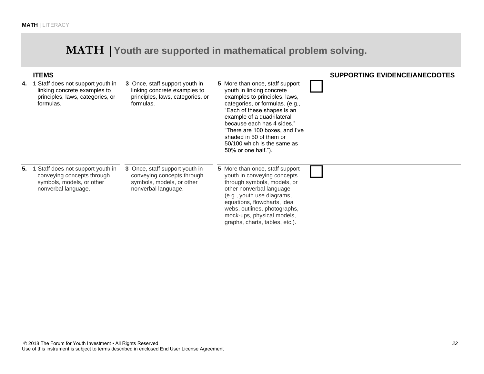## **MATH |Youth are supported in mathematical problem solving.**

|    | <b>ITEMS</b>                                                                                                           |                                                                                                                  | <b>SUPPORTING EVIDENCE/ANECDOTES</b>                                                                                                                                                                                                                                                                                                           |
|----|------------------------------------------------------------------------------------------------------------------------|------------------------------------------------------------------------------------------------------------------|------------------------------------------------------------------------------------------------------------------------------------------------------------------------------------------------------------------------------------------------------------------------------------------------------------------------------------------------|
| 4. | Staff does not support youth in<br>linking concrete examples to<br>principles, laws, categories, or<br>formulas.       | 3 Once, staff support youth in<br>linking concrete examples to<br>principles, laws, categories, or<br>formulas.  | 5 More than once, staff support<br>youth in linking concrete<br>examples to principles, laws,<br>categories, or formulas. (e.g.,<br>"Each of these shapes is an<br>example of a quadrilateral<br>because each has 4 sides."<br>"There are 100 boxes, and I've<br>shaded in 50 of them or<br>50/100 which is the same as<br>50% or one half."). |
|    | 5. 1 Staff does not support youth in<br>conveying concepts through<br>symbols, models, or other<br>nonverbal language. | 3 Once, staff support youth in<br>conveying concepts through<br>symbols, models, or other<br>nonverbal language. | 5 More than once, staff support<br>youth in conveying concepts<br>through symbols, models, or<br>other nonverbal language<br>(e.g., youth use diagrams,<br>equations, flowcharts, idea<br>webs, outlines, photographs,<br>mock-ups, physical models,<br>graphs, charts, tables, etc.).                                                         |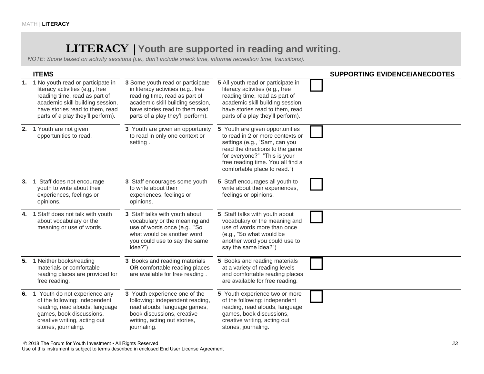## **LITERACY |Youth are supported in reading and writing.**

|    | <b>ITEMS</b>                                                                                                                                                                                                         |                                                                                                                                                                                                                    |                                                                                                                                                                                                                                              | <b>SUPPORTING EVIDENCE/ANECDOTES</b> |
|----|----------------------------------------------------------------------------------------------------------------------------------------------------------------------------------------------------------------------|--------------------------------------------------------------------------------------------------------------------------------------------------------------------------------------------------------------------|----------------------------------------------------------------------------------------------------------------------------------------------------------------------------------------------------------------------------------------------|--------------------------------------|
|    | 1. 1 No youth read or participate in<br>literacy activities (e.g., free<br>reading time, read as part of<br>academic skill building session,<br>have stories read to them, read<br>parts of a play they'll perform). | 3 Some youth read or participate<br>in literacy activities (e.g., free<br>reading time, read as part of<br>academic skill building session,<br>have stories read to them read<br>parts of a play they'll perform). | 5 All youth read or participate in<br>literacy activities (e.g., free<br>reading time, read as part of<br>academic skill building session,<br>have stories read to them, read<br>parts of a play they'll perform).                           |                                      |
|    | 2. 1 Youth are not given<br>opportunities to read.                                                                                                                                                                   | 3 Youth are given an opportunity<br>to read in only one context or<br>setting.                                                                                                                                     | 5 Youth are given opportunities<br>to read in 2 or more contexts or<br>settings (e.g., "Sam, can you<br>read the directions to the game<br>for everyone?" "This is your<br>free reading time. You all find a<br>comfortable place to read.") |                                      |
|    | 3. 1 Staff does not encourage<br>youth to write about their<br>experiences, feelings or<br>opinions.                                                                                                                 | 3 Staff encourages some youth<br>to write about their<br>experiences, feelings or<br>opinions.                                                                                                                     | 5 Staff encourages all youth to<br>write about their experiences,<br>feelings or opinions.                                                                                                                                                   |                                      |
| 4. | 1 Staff does not talk with youth<br>about vocabulary or the<br>meaning or use of words.                                                                                                                              | 3 Staff talks with youth about<br>vocabulary or the meaning and<br>use of words once (e.g., "So<br>what would be another word<br>you could use to say the same<br>idea?")                                          | 5 Staff talks with youth about<br>vocabulary or the meaning and<br>use of words more than once<br>(e.g., "So what would be<br>another word you could use to<br>say the same idea?")                                                          |                                      |
| 5. | 1 Neither books/reading<br>materials or comfortable<br>reading places are provided for<br>free reading.                                                                                                              | 3 Books and reading materials<br>OR comfortable reading places<br>are available for free reading.                                                                                                                  | 5 Books and reading materials<br>at a variety of reading levels<br>and comfortable reading places<br>are available for free reading.                                                                                                         |                                      |
|    | 6. 1 Youth do not experience any<br>of the following: independent<br>reading, read alouds, language<br>games, book discussions,<br>creative writing, acting out<br>stories, journaling.                              | 3 Youth experience one of the<br>following: independent reading,<br>read alouds, language games,<br>book discussions, creative<br>writing, acting out stories,<br>journaling.                                      | 5 Youth experience two or more<br>of the following: independent<br>reading, read alouds, language<br>games, book discussions,<br>creative writing, acting out<br>stories, journaling.                                                        |                                      |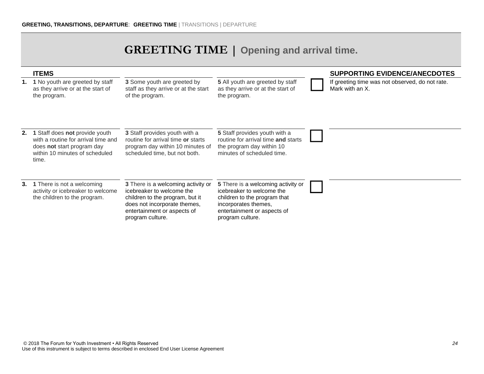## **GREETING TIME | Opening and arrival time.**

|    | <b>ITEMS</b>                                                                                                                                   |                                                                                                                                                                                       |                                                                                                                                                                            | <b>SUPPORTING EVIDENCE/ANECDOTES</b>                               |
|----|------------------------------------------------------------------------------------------------------------------------------------------------|---------------------------------------------------------------------------------------------------------------------------------------------------------------------------------------|----------------------------------------------------------------------------------------------------------------------------------------------------------------------------|--------------------------------------------------------------------|
|    | 1. 1 No youth are greeted by staff<br>as they arrive or at the start of<br>the program.                                                        | 3 Some youth are greeted by<br>staff as they arrive or at the start<br>of the program.                                                                                                | 5 All youth are greeted by staff<br>as they arrive or at the start of<br>the program.                                                                                      | If greeting time was not observed, do not rate.<br>Mark with an X. |
| 2. | 1 Staff does not provide youth<br>with a routine for arrival time and<br>does not start program day<br>within 10 minutes of scheduled<br>time. | 3 Staff provides youth with a<br>routine for arrival time or starts<br>program day within 10 minutes of<br>scheduled time, but not both.                                              | 5 Staff provides youth with a<br>routine for arrival time and starts<br>the program day within 10<br>minutes of scheduled time.                                            |                                                                    |
|    | 3. 1 There is not a welcoming<br>activity or icebreaker to welcome<br>the children to the program.                                             | 3 There is a welcoming activity or<br>icebreaker to welcome the<br>children to the program, but it<br>does not incorporate themes,<br>entertainment or aspects of<br>program culture. | 5 There is a welcoming activity or<br>icebreaker to welcome the<br>children to the program that<br>incorporates themes,<br>entertainment or aspects of<br>program culture. |                                                                    |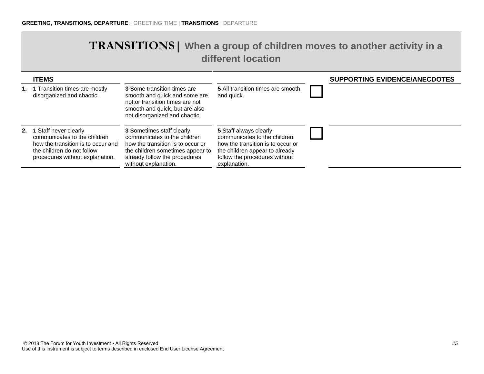#### **TRANSITIONS| When a group of children moves to another activity in a different location**

| <b>ITEMS</b>                                                                                                                                                    |                                                                                                                                                                                             |                                                                                                                                                                                | <b>SUPPORTING EVIDENCE/ANECDOTES</b> |
|-----------------------------------------------------------------------------------------------------------------------------------------------------------------|---------------------------------------------------------------------------------------------------------------------------------------------------------------------------------------------|--------------------------------------------------------------------------------------------------------------------------------------------------------------------------------|--------------------------------------|
| 1. 1 Transition times are mostly<br>disorganized and chaotic.                                                                                                   | <b>3</b> Some transition times are<br>smooth and quick and some are<br>not; or transition times are not<br>smooth and quick, but are also<br>not disorganized and chaotic.                  | <b>5</b> All transition times are smooth<br>and quick.                                                                                                                         |                                      |
| 2. 1 Staff never clearly<br>communicates to the children<br>how the transition is to occur and<br>the children do not follow<br>procedures without explanation. | 3 Sometimes staff clearly<br>communicates to the children<br>how the transition is to occur or<br>the children sometimes appear to<br>already follow the procedures<br>without explanation. | 5 Staff always clearly<br>communicates to the children<br>how the transition is to occur or<br>the children appear to already<br>follow the procedures without<br>explanation. |                                      |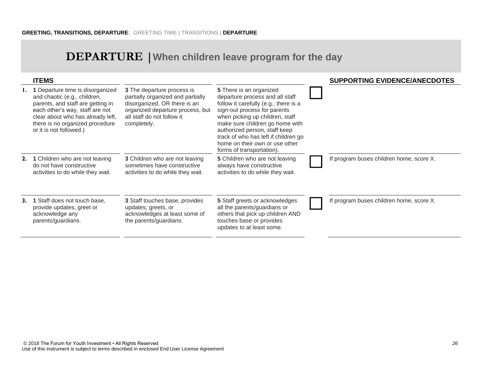## **DEPARTURE |When children leave program for the day**

| <b>ITEMS</b>                                                                                                                                                                                                                                          |                                                                                                                                                                                  |                                                                                                                                                                                                                                                                                                                                                   | <b>SUPPORTING EVIDENCE/ANECDOTES</b>     |
|-------------------------------------------------------------------------------------------------------------------------------------------------------------------------------------------------------------------------------------------------------|----------------------------------------------------------------------------------------------------------------------------------------------------------------------------------|---------------------------------------------------------------------------------------------------------------------------------------------------------------------------------------------------------------------------------------------------------------------------------------------------------------------------------------------------|------------------------------------------|
| <b>I.</b> 1 Departure time is disorganized<br>and chaotic (e.g., children,<br>parents, and staff are getting in<br>each other's way, staff are not<br>clear about who has already left,<br>there is no organized procedure<br>or it is not followed.) | 3 The departure process is<br>partially organized and partially<br>disorganized, OR there is an<br>organized departure process, but<br>all staff do not follow it<br>completely. | 5 There is an organized<br>departure process and all staff<br>follow it carefully (e.g., there is a<br>sign-out process for parents<br>when picking up children, staff<br>make sure children go home with<br>authorized person, staff keep<br>track of who has left if children go<br>home on their own or use other<br>forms of transportation). |                                          |
| 2. 1 Children who are not leaving<br>do not have constructive<br>activities to do while they wait.                                                                                                                                                    | 3 Children who are not leaving<br>sometimes have constructive<br>activities to do while they wait.                                                                               | 5 Children who are not leaving<br>always have constructive<br>activities to do while they wait.                                                                                                                                                                                                                                                   | If program buses children home, score X. |
| 3. 1 Staff does not touch base,<br>provide updates, greet or<br>acknowledge any<br>parents/guardians.                                                                                                                                                 | 3 Staff touches base, provides<br>updates, greets, or<br>acknowledges at least some of<br>the parents/guardians.                                                                 | 5 Staff greets or acknowledges<br>all the parents/guardians or<br>others that pick up children AND<br>touches base or provides<br>updates to at least some.                                                                                                                                                                                       | If program buses children home, score X. |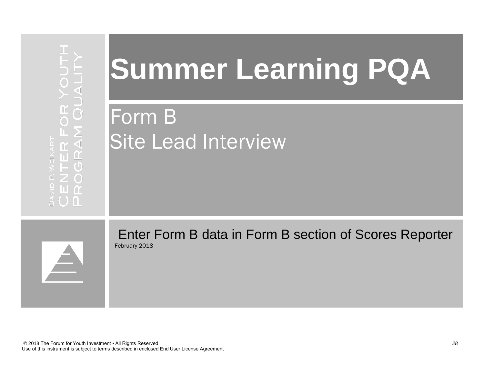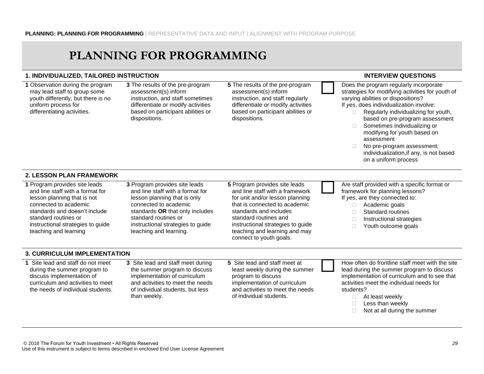## **PLANNING FOR PROGRAMMING**

#### **1. INDIVIDUALIZED, TAILORED INSTRUCTION INTERVIEW QUESTIONS**

**1** Observation during the program may lead staff to group some youth differently, but there is no uniform process for differentiating activities.

assessment(s) inform instruction, and staff regularly differentiate or modify activities based on participant abilities or dispositions.

**3** The results of the pre-program assessment(s) inform instruction, and staff sometimes differentiate or modify activities based on participant abilities or dispositions. **5** The results of the pre-program Does the program regularly incorporate strategies for modifying activities for youth of varying abilities or dispositions? If *yes*, does individualization involve:  $\Box$  Regularly individualizing for youth, based on pre-program assessment □ Sometimes individualizing or modifying for youth based on assessment □ No pre-program assessment; individualization,if any, is not based on a uniform process **2. LESSON PLAN FRAMEWORK 1** Program provides site leads and line staff with a format for lesson planning that is not connected to academic standards and doesn't include standard routines or instructional strategies to guide teaching and learning **3** Program provides site leads and line staff with a format for lesson planning that is only connected to academic standards **OR** that only includes standard routines or instructional strategies to guide teaching and learning. **5** Program provides site leads and line staff with a framework for unit and/or lesson planning that is connected to academic standards and includes standard routines and instructional strategies to guide teaching and learning and may connect to youth goals. Are staff provided with a specific format or framework for planning lessons? If *yes*, are they connected to: □ Academic goals □ Standard routines  $\Box$  Instructional strategies □ Youth outcome goals **3. CURRICULUM IMPLEMENTATION 1** Site lead and staff do not meet during the summer program to discuss implementation of curriculum and activities to meet the needs of individual students. **3** Site lead and staff meet during the summer program to discuss implementation of curriculum and activities to meet the needs of individual students, but less **5** Site lead and staff meet at least weekly during the summer program to discuss implementation of curriculum and activities to meet the needs How often do frontline staff meet with the site lead during the summer program to discuss implementation of curriculum and to see that activities meet the individual needs for students?

of individual students.

- □ At least weekly
- $\Box$  Less than weekly
- $\Box$  Not at all during the summer

than weekly.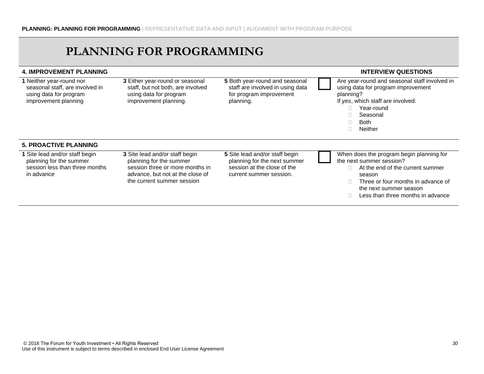## **PLANNING FOR PROGRAMMING**

| <b>4. IMPROVEMENT PLANNING</b>                                                                                |                                                                                                                                                                |                                                                                                                          | <b>INTERVIEW QUESTIONS</b>                                                                                                                                                                                              |
|---------------------------------------------------------------------------------------------------------------|----------------------------------------------------------------------------------------------------------------------------------------------------------------|--------------------------------------------------------------------------------------------------------------------------|-------------------------------------------------------------------------------------------------------------------------------------------------------------------------------------------------------------------------|
| 1 Neither year-round nor<br>seasonal staff, are involved in<br>using data for program<br>improvement planning | 3 Either year-round or seasonal<br>staff, but not both, are involved<br>using data for program<br>improvement planning.                                        | 5 Both year-round and seasonal<br>staff are involved in using data<br>for program improvement<br>planning.               | Are year-round and seasonal staff involved in<br>using data for program improvement<br>planning?<br>If yes, which staff are involved:<br>Year-round<br>П.<br>Seasonal<br><b>Both</b><br>Neither<br>П.                   |
| <b>5. PROACTIVE PLANNING</b>                                                                                  |                                                                                                                                                                |                                                                                                                          |                                                                                                                                                                                                                         |
| 1 Site lead and/or staff begin<br>planning for the summer<br>session less than three months<br>in advance     | 3 Site lead and/or staff begin<br>planning for the summer<br>session three or more months in<br>advance, but not at the close of<br>the current summer session | 5 Site lead and/or staff begin<br>planning for the next summer<br>session at the close of the<br>current summer session. | When does the program begin planning for<br>the next summer session?<br>At the end of the current summer<br>season<br>Three or four months in advance of<br>the next summer season<br>Less than three months in advance |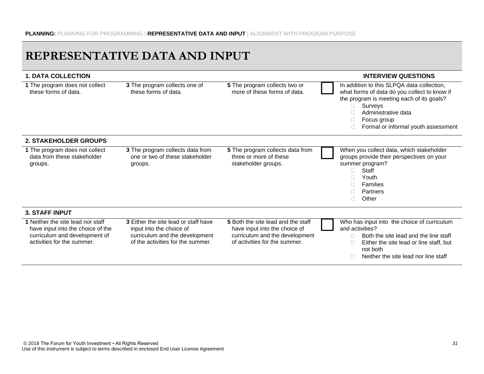## **REPRESENTATIVE DATA AND INPUT**

| <b>1. DATA COLLECTION</b>                                                                                                             |                                                                                                                                                |                                                                                                                                        | <b>INTERVIEW QUESTIONS</b>                                                                                                                                                                                                            |
|---------------------------------------------------------------------------------------------------------------------------------------|------------------------------------------------------------------------------------------------------------------------------------------------|----------------------------------------------------------------------------------------------------------------------------------------|---------------------------------------------------------------------------------------------------------------------------------------------------------------------------------------------------------------------------------------|
| 1 The program does not collect<br>these forms of data.                                                                                | 3 The program collects one of<br>these forms of data.                                                                                          | 5 The program collects two or<br>more of these forms of data.                                                                          | In addition to this SLPQA data collection,<br>what forms of data do you collect to know if<br>the program is meeting each of its goals?<br>Surveys<br>П.<br>Administrative data<br>Focus group<br>Formal or informal youth assessment |
| 2. STAKEHOLDER GROUPS                                                                                                                 |                                                                                                                                                |                                                                                                                                        |                                                                                                                                                                                                                                       |
| 1 The program does not collect<br>data from these stakeholder<br>groups.                                                              | 3 The program collects data from<br>one or two of these stakeholder<br>groups.                                                                 | 5 The program collects data from<br>three or more of these<br>stakeholder groups.                                                      | When you collect data, which stakeholder<br>groups provide their perspectives on your<br>summer program?<br>Staff<br>П.<br>Youth<br>Families<br>П.<br>Partners<br>П<br>Other<br>П.                                                    |
| <b>3. STAFF INPUT</b>                                                                                                                 |                                                                                                                                                |                                                                                                                                        |                                                                                                                                                                                                                                       |
| 1 Neither the site lead nor staff<br>have input into the choice of the<br>curriculum and development of<br>activities for the summer. | <b>3</b> Either the site lead or staff have<br>input into the choice of<br>curriculum and the development<br>of the activities for the summer. | 5 Both the site lead and the staff<br>have input into the choice of<br>curriculum and the development<br>of activities for the summer. | Who has input into the choice of curriculum<br>and activities?<br>Both the site lead and the line staff<br>П.<br>Either the site lead or line staff, but<br>$\Box$<br>not both<br>Neither the site lead nor line staff<br>П           |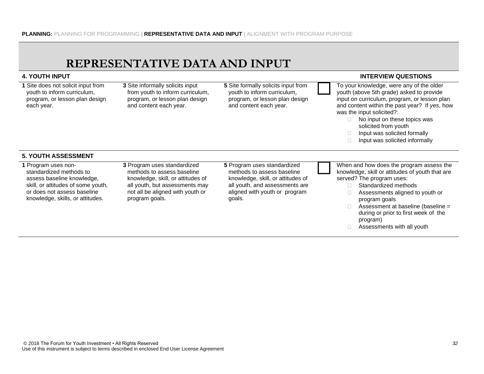|                                                                                                                                                                                       | REPRESENTATIVE DATA AND INPUT                                                                                                                                                          |                                                                                                                                                                             |                                                                                                                                                                                                                                                                                                                                                    |
|---------------------------------------------------------------------------------------------------------------------------------------------------------------------------------------|----------------------------------------------------------------------------------------------------------------------------------------------------------------------------------------|-----------------------------------------------------------------------------------------------------------------------------------------------------------------------------|----------------------------------------------------------------------------------------------------------------------------------------------------------------------------------------------------------------------------------------------------------------------------------------------------------------------------------------------------|
| <b>4. YOUTH INPUT</b>                                                                                                                                                                 |                                                                                                                                                                                        |                                                                                                                                                                             | <b>INTERVIEW QUESTIONS</b>                                                                                                                                                                                                                                                                                                                         |
| 1 Site does not solicit input from<br>youth to inform curriculum,<br>program, or lesson plan design<br>each year.                                                                     | 3 Site informally solicits input<br>from youth to inform curriculum,<br>program, or lesson plan design<br>and content each year.                                                       | 5 Site formally solicits input from<br>youth to inform curriculum,<br>program, or lesson plan design<br>and content each year.                                              | To your knowledge, were any of the older<br>youth (above 5th grade) asked to provide<br>input on curriculum, program, or lesson plan<br>and content within the past year? If yes, how<br>was the input solicited?:<br>No input on these topics was<br>solicited from youth<br>Input was solicited formally<br>Input was solicited informally<br>П. |
| <b>5. YOUTH ASSESSMENT</b>                                                                                                                                                            |                                                                                                                                                                                        |                                                                                                                                                                             |                                                                                                                                                                                                                                                                                                                                                    |
| 1 Program uses non-<br>standardized methods to<br>assess baseline knowledge,<br>skill, or attitudes of some youth,<br>or does not assess baseline<br>knowledge, skills, or attitudes. | 3 Program uses standardized<br>methods to assess baseline<br>knowledge, skill, or attitudes of<br>all youth, but assessments may<br>not all be aligned with youth or<br>program goals. | 5 Program uses standardized<br>methods to assess baseline<br>knowledge, skill, or attitudes of<br>all youth, and assessments are<br>aligned with youth or program<br>goals. | When and how does the program assess the<br>knowledge, skill or attitudes of youth that are<br>served? The program uses:<br>Standardized methods<br>Assessments aligned to youth or<br>program goals<br>Assessment at baseline (baseline =<br>during or prior to first week of the<br>program)<br>Assessments with all youth                       |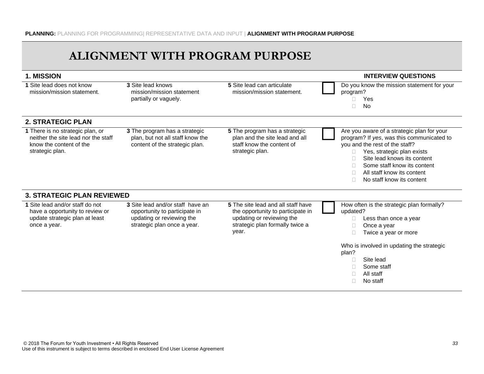## **ALIGNMENT WITH PROGRAM PURPOSE**

| 1. MISSION                                                                                                            |                                                                                                                               |                                                                                                                                                  | <b>INTERVIEW QUESTIONS</b>                                                                                                                                                                                                                                                             |
|-----------------------------------------------------------------------------------------------------------------------|-------------------------------------------------------------------------------------------------------------------------------|--------------------------------------------------------------------------------------------------------------------------------------------------|----------------------------------------------------------------------------------------------------------------------------------------------------------------------------------------------------------------------------------------------------------------------------------------|
| 1 Site lead does not know<br>mission/mission statement.                                                               | 3 Site lead knows<br>mission/mission statement<br>partially or vaguely.                                                       | 5 Site lead can articulate<br>mission/mission statement.                                                                                         | Do you know the mission statement for your<br>program?<br>Yes<br>П<br>No<br>П                                                                                                                                                                                                          |
| <b>2. STRATEGIC PLAN</b>                                                                                              |                                                                                                                               |                                                                                                                                                  |                                                                                                                                                                                                                                                                                        |
| 1 There is no strategic plan, or<br>neither the site lead nor the staff<br>know the content of the<br>strategic plan. | 3 The program has a strategic<br>plan, but not all staff know the<br>content of the strategic plan.                           | 5 The program has a strategic<br>plan and the site lead and all<br>staff know the content of<br>strategic plan.                                  | Are you aware of a strategic plan for your<br>program? If yes, was this communicated to<br>you and the rest of the staff?<br>Yes, strategic plan exists<br>Site lead knows its content<br>Some staff know its content<br>All staff know its content<br>П.<br>No staff know its content |
| <b>3. STRATEGIC PLAN REVIEWED</b>                                                                                     |                                                                                                                               |                                                                                                                                                  |                                                                                                                                                                                                                                                                                        |
| 1 Site lead and/or staff do not<br>have a opportunity to review or<br>update strategic plan at least<br>once a year.  | 3 Site lead and/or staff have an<br>opportunity to participate in<br>updating or reviewing the<br>strategic plan once a year. | 5 The site lead and all staff have<br>the opportunity to participate in<br>updating or reviewing the<br>strategic plan formally twice a<br>year. | How often is the strategic plan formally?<br>updated?<br>Less than once a year<br>Once a year<br>П<br>Twice a year or more<br>Who is involved in updating the strategic<br>plan?<br>Site lead<br>Some staff<br>All staff<br>П<br>No staff<br>П                                         |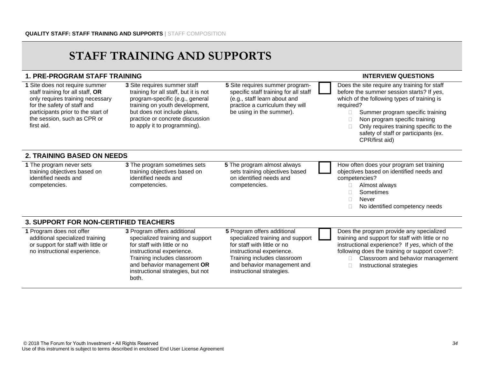## **STAFF TRAINING AND SUPPORTS**

#### **1. PRE-PROGRAM STAFF TRAINING INTERVIEW QUESTIONS**

specific staff training for all staff (e.g., staff learn about and practice a curriculum they will be using in the summer).

**1** Site does not require summer staff training for all staff, **OR**  only requires training necessary for the safety of staff and participants prior to the start of the session, such as CPR or first aid. **3** Site requires summer staff training for all staff, but it is not program-specific (e.g., general training on youth development, but does not include plans, practice or concrete discussion to apply it to programming). **5** Site requires summer program- Does the site require any training for staff before the summer session starts? If *yes*, which of the following types of training is required?  $\square$  Summer program specific training □ Non program specific training  $\Box$  Only requires training specific to the safety of staff or participants (ex. CPR/first aid) **2. TRAINING BASED ON NEEDS 1** The program never sets training objectives based on identified needs and competencies. **3** The program sometimes sets training objectives based on identified needs and competencies. **5** The program almost always sets training objectives based on identified needs and competencies. How often does your program set training objectives based on identified needs and competencies? Almost always Sometimes Never □ No identified competency needs **3. SUPPORT FOR NON-CERTIFIED TEACHERS 1** Program does not offer additional specialized training or support for staff with little or no instructional experience. **3** Program offers additional specialized training and support for staff with little or no instructional experience. Training includes classroom and behavior management **OR**  instructional strategies, but not **5** Program offers additional specialized training and support for staff with little or no instructional experience. Training includes classroom and behavior management and instructional strategies. Does the program provide any specialized training and support for staff with little or no instructional experience? If *yes*, which of the following does the training or support cover?: □ Classroom and behavior management  $\Box$  Instructional strategies

both.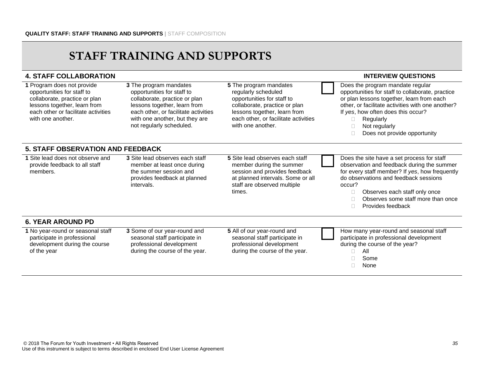## **STAFF TRAINING AND SUPPORTS**

| <b>4. STAFF COLLABORATION</b>                                                                                                                                                         |                                                                                                                                                                                                                             |                                                                                                                                                                                                           | <b>INTERVIEW QUESTIONS</b>                                                                                                                                                                                                                                                                           |
|---------------------------------------------------------------------------------------------------------------------------------------------------------------------------------------|-----------------------------------------------------------------------------------------------------------------------------------------------------------------------------------------------------------------------------|-----------------------------------------------------------------------------------------------------------------------------------------------------------------------------------------------------------|------------------------------------------------------------------------------------------------------------------------------------------------------------------------------------------------------------------------------------------------------------------------------------------------------|
| 1 Program does not provide<br>opportunities for staff to<br>collaborate, practice or plan<br>lessons together, learn from<br>each other or facilitate activities<br>with one another. | 3 The program mandates<br>opportunities for staff to<br>collaborate, practice or plan<br>lessons together, learn from<br>each other, or facilitate activities<br>with one another, but they are<br>not regularly scheduled. | 5 The program mandates<br>regularly scheduled<br>opportunities for staff to<br>collaborate, practice or plan<br>lessons together, learn from<br>each other, or facilitate activities<br>with one another. | Does the program mandate regular<br>opportunities for staff to collaborate, practice<br>or plan lessons together, learn from each<br>other, or facilitate activities with one another?<br>If yes, how often does this occur?<br>Regularly<br>0<br>Not regularly<br>Does not provide opportunity<br>П |
| <b>5. STAFF OBSERVATION AND FEEDBACK</b>                                                                                                                                              |                                                                                                                                                                                                                             |                                                                                                                                                                                                           |                                                                                                                                                                                                                                                                                                      |
| 1 Site lead does not observe and<br>provide feedback to all staff<br>members.                                                                                                         | 3 Site lead observes each staff<br>member at least once during<br>the summer session and<br>provides feedback at planned<br>intervals.                                                                                      | 5 Site lead observes each staff<br>member during the summer<br>session and provides feedback<br>at planned intervals. Some or all<br>staff are observed multiple<br>times.                                | Does the site have a set process for staff<br>observation and feedback during the summer<br>for every staff member? If yes, how frequently<br>do observations and feedback sessions<br>occur?<br>Observes each staff only once<br>0<br>Observes some staff more than once<br>Provides feedback<br>П. |
| <b>6. YEAR AROUND PD</b>                                                                                                                                                              |                                                                                                                                                                                                                             |                                                                                                                                                                                                           |                                                                                                                                                                                                                                                                                                      |
| 1 No year-round or seasonal staff<br>participate in professional<br>development during the course<br>of the year                                                                      | 3 Some of our year-round and<br>seasonal staff participate in<br>professional development<br>during the course of the year.                                                                                                 | 5 All of our year-round and<br>seasonal staff participate in<br>professional development<br>during the course of the year.                                                                                | How many year-round and seasonal staff<br>participate in professional development<br>during the course of the year?<br>All<br>Some<br>None<br>П                                                                                                                                                      |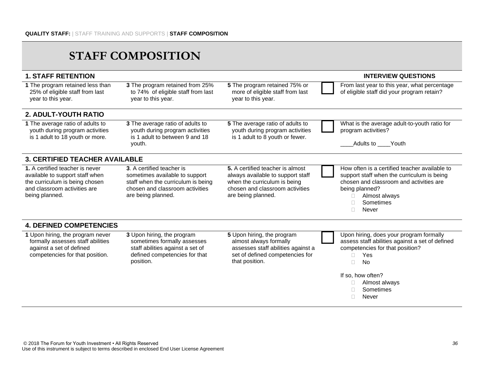| <b>1. STAFF RETENTION</b>                                                                                                                              |                                                                                                                                                            |                                                                                                                                                                | <b>INTERVIEW QUESTIONS</b>                                                                                                                                                                                                         |
|--------------------------------------------------------------------------------------------------------------------------------------------------------|------------------------------------------------------------------------------------------------------------------------------------------------------------|----------------------------------------------------------------------------------------------------------------------------------------------------------------|------------------------------------------------------------------------------------------------------------------------------------------------------------------------------------------------------------------------------------|
| 1 The program retained less than<br>25% of eligible staff from last<br>year to this year.                                                              | 3 The program retained from 25%<br>to 74% of eligible staff from last<br>year to this year.                                                                | 5 The program retained 75% or<br>more of eligible staff from last<br>year to this year.                                                                        | From last year to this year, what percentage<br>of eligible staff did your program retain?                                                                                                                                         |
| <b>2. ADULT-YOUTH RATIO</b>                                                                                                                            |                                                                                                                                                            |                                                                                                                                                                |                                                                                                                                                                                                                                    |
| 1 The average ratio of adults to<br>youth during program activities<br>is 1 adult to 18 youth or more.                                                 | 3 The average ratio of adults to<br>youth during program activities<br>is 1 adult to between 9 and 18<br>youth.                                            | 5 The average ratio of adults to<br>youth during program activities<br>is 1 adult to 8 youth or fewer.                                                         | What is the average adult-to-youth ratio for<br>program activities?<br>Adults to Youth                                                                                                                                             |
| <b>3. CERTIFIED TEACHER AVAILABLE</b>                                                                                                                  |                                                                                                                                                            |                                                                                                                                                                |                                                                                                                                                                                                                                    |
| 1. A certified teacher is never<br>available to support staff when<br>the curriculum is being chosen<br>and classroom activities are<br>being planned. | 3. A certified teacher is<br>sometimes available to support<br>staff when the curriculum is being<br>chosen and classroom activities<br>are being planned. | 5. A certified teacher is almost<br>always available to support staff<br>when the curriculum is being<br>chosen and classroom activities<br>are being planned. | How often is a certified teacher available to<br>support staff when the curriculum is being<br>chosen and classroom and activities are<br>being planned?<br>Almost always<br>Sometimes<br>Never<br>П.                              |
| <b>4. DEFINED COMPETENCIES</b>                                                                                                                         |                                                                                                                                                            |                                                                                                                                                                |                                                                                                                                                                                                                                    |
| 1 Upon hiring, the program never<br>formally assesses staff abilities<br>against a set of defined<br>competencies for that position.                   | 3 Upon hiring, the program<br>sometimes formally assesses<br>staff abilities against a set of<br>defined competencies for that<br>position.                | 5 Upon hiring, the program<br>almost always formally<br>assesses staff abilities against a<br>set of defined competencies for<br>that position.                | Upon hiring, does your program formally<br>assess staff abilities against a set of defined<br>competencies for that position?<br>Yes<br>П.<br><b>No</b><br>П<br>If so, how often?<br>Almost always<br>Sometimes<br>Never<br>$\Box$ |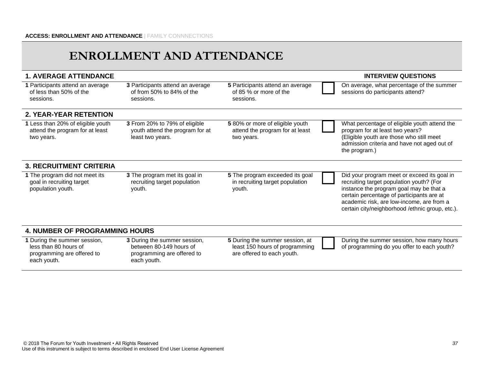## **ENROLLMENT AND ATTENDANCE**

| <b>1. AVERAGE ATTENDANCE</b>                                                        |                                                                                       |                                                                                                 | <b>INTERVIEW QUESTIONS</b>                                                                                                                                                                                                                                                      |
|-------------------------------------------------------------------------------------|---------------------------------------------------------------------------------------|-------------------------------------------------------------------------------------------------|---------------------------------------------------------------------------------------------------------------------------------------------------------------------------------------------------------------------------------------------------------------------------------|
| 1 Participants attend an average<br>of less than 50% of the<br>sessions.            | 3 Participants attend an average<br>of from 50% to 84% of the<br>sessions.            | 5 Participants attend an average<br>of 85 % or more of the<br>sessions.                         | On average, what percentage of the summer<br>sessions do participants attend?                                                                                                                                                                                                   |
| <b>2. YEAR-YEAR RETENTION</b>                                                       |                                                                                       |                                                                                                 |                                                                                                                                                                                                                                                                                 |
| 1 Less than 20% of eligible youth<br>attend the program for at least<br>two years.  | 3 From 20% to 79% of eligible<br>youth attend the program for at<br>least two years.  | 5 80% or more of eligible youth<br>attend the program for at least<br>two years.                | What percentage of eligible youth attend the<br>program for at least two years?<br>(Eligible youth are those who still meet<br>admission criteria and have not aged out of<br>the program.)                                                                                     |
| <b>3. RECRUITMENT CRITERIA</b>                                                      |                                                                                       |                                                                                                 |                                                                                                                                                                                                                                                                                 |
| 1 The program did not meet its<br>goal in recruiting target<br>population youth.    | 3 The program met its goal in<br>recruiting target population<br>youth.               | 5 The program exceeded its goal<br>in recruiting target population<br>youth.                    | Did your program meet or exceed its goal in<br>recruiting target population youth? (For<br>instance the program goal may be that a<br>certain percentage of participants are at<br>academic risk, are low-income, are from a<br>certain city/neighborhood /ethnic group, etc.). |
| <b>4. NUMBER OF PROGRAMMING HOURS</b>                                               |                                                                                       |                                                                                                 |                                                                                                                                                                                                                                                                                 |
| 1 During the summer session,<br>less than 80 hours of<br>programming are offered to | 3 During the summer session,<br>between 80-149 hours of<br>programming are offered to | 5 During the summer session, at<br>least 150 hours of programming<br>are offered to each youth. | During the summer session, how many hours<br>of programming do you offer to each youth?                                                                                                                                                                                         |

each youth.

each youth.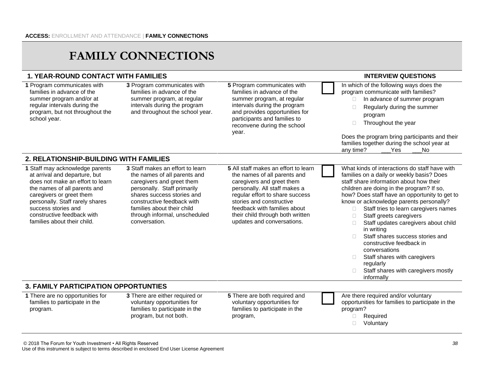## **FAMILY CONNECTIONS**

#### **1. YEAR-ROUND CONTACT WITH FAMILIES INTERVIEW QUESTIONS**

- families in advance of the summer program and/or at regular intervals during the school year.
- 
- **5** Program communicates with families in advance of the summer program, at regular intervals during the program and provides opportunities for participants and families to reconvene during the school year.

**1** Program communicates with program, but not throughout the **3** Program communicates with families in advance of the summer program, at regular intervals during the program and throughout the school year. In which of the following ways does the program communicate with families?  $\Box$  In advance of summer program  $\Box$  Regularly during the summer program □ Throughout the year Does the program bring participants and their families together during the school year at any time? The Ses Linux No **2. RELATIONSHIP-BUILDING WITH FAMILIES 1** Staff may acknowledge parents at arrival and departure, but does not make an effort to learn the names of all parents and caregivers or greet them personally. Staff rarely shares success stories and constructive feedback with families about their child. **3** Staff makes an effort to learn the names of all parents and caregivers and greet them personally. Staff primarily shares success stories and constructive feedback with families about their child through informal, unscheduled conversation. **5** All staff makes an effort to learn the names of all parents and caregivers and greet them personally. All staff makes a regular effort to share success stories and constructive feedback with families about their child through both written updates and conversations. What kinds of interactions do staff have with families on a daily or weekly basis? Does staff share information about how their children are doing in the program? If so, how? Does staff have an opportunity to get to know or acknowledge parents personally? □ Staff tries to learn caregivers names □ Staff greets caregivers □ Staff updates caregivers about child in writing Staff shares success stories and constructive feedback in conversations  $\Box$  Staff shares with caregivers regularly □ Staff shares with caregivers mostly informally **3. FAMILY PARTICIPATION OPPORTUNTIES 1** There are no opportunities for families to participate in the program. **3** There are either required or voluntary opportunities for families to participate in the program, but not both. **5** There are both required and voluntary opportunities for families to participate in the program, Are there required and/or voluntary opportunities for families to participate in the program? Required □ Voluntary